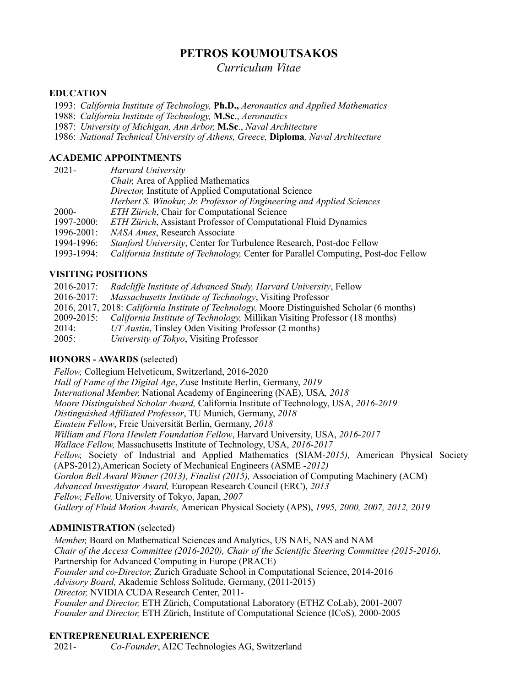# **PETROS KOUMOUTSAKOS**

*Curriculum Vitae*

### **EDUCATION**

1993: *California Institute of Technology,* **Ph.D.,** *Aeronautics and Applied Mathematics*

1988: *California Institute of Technology,* **M.Sc**., *Aeronautics*

1987: *University of Michigan, Ann Arbor,* **M.Sc**., *Naval Architecture*

1986: *National Technical University of Athens, Greece,* **Diploma***, Naval Architecture*

### **ACADEMIC APPOINTMENTS**

| $2021 -$        | Harvard University                                                                 |
|-----------------|------------------------------------------------------------------------------------|
|                 | Chair, Area of Applied Mathematics                                                 |
|                 | <i>Director</i> ; Institute of Applied Computational Science                       |
|                 | Herbert S. Winokur, Jr. Professor of Engineering and Applied Sciences              |
| $2000 -$        | ETH Zürich, Chair for Computational Science                                        |
| 1997-2000:      | <b>ETH Zürich, Assistant Professor of Computational Fluid Dynamics</b>             |
| $1996 - 2001$ : | NASA Ames, Research Associate                                                      |
| 1994-1996:      | Stanford University, Center for Turbulence Research, Post-doc Fellow               |
| 1993-1994:      | California Institute of Technology, Center for Parallel Computing, Post-doc Fellow |
|                 |                                                                                    |

# **VISITING POSITIONS**

2016-2017: *Radcliffe Institute of Advanced Study, Harvard University*, Fellow

2016-2017: *Massachusetts Institute of Technology*, Visiting Professor

2016, 2017, 2018: *California Institute of Technology,* Moore Distinguished Scholar (6 months)

2009-2015: *California Institute of Technology,* Millikan Visiting Professor (18 months)

2014: *UT Austin*, Tinsley Oden Visiting Professor (2 months)

2005: *University of Tokyo*, Visiting Professor

# **HONORS - AWARDS** (selected)

*Fellow,* Collegium Helveticum, Switzerland, 2016-2020 *Hall of Fame of the Digital Age*, Zuse Institute Berlin, Germany, *2019 International Member,* National Academy of Engineering (NAE), USA*, 2018 Moore Distinguished Scholar Award,* California Institute of Technology, USA, *2016-2019 Distinguished Affiliated Professor*, TU Munich, Germany, *2018 Einstein Fellow*, Freie Universität Berlin, Germany, *2018 William and Flora Hewlett Foundation Fellow*, Harvard University, USA, *2016-2017 Wallace Fellow,* Massachusetts Institute of Technology, USA, *2016-2017 Fellow,* Society of Industrial and Applied Mathematics (SIAM-*2015),* American Physical Society (APS-2012),American Society of Mechanical Engineers (ASME -*2012) Gordon Bell Award Winner (2013), Finalist (2015),* Association of Computing Machinery (ACM) *Advanced Investigator Award,* European Research Council (ERC), *2013 Fellow, Fellow,* University of Tokyo, Japan, *2007 Gallery of Fluid Motion Awards,* American Physical Society (APS), *1995, 2000, 2007, 2012, 2019*

# **ADMINISTRATION** (selected)

*Member,* Board on Mathematical Sciences and Analytics, US NAE, NAS and NAM *Chair of the Access Committee (2016-2020), Chair of the Scientific Steering Committee (2015-2016),*  Partnership for Advanced Computing in Europe (PRACE) *Founder and co-Director,* Zurich Graduate School in Computational Science, 2014-2016 *Advisory Board,* Akademie Schloss Solitude, Germany, (2011-2015) *Director,* NVIDIA CUDA Research Center, 2011- *Founder and Director,* ETH Zürich, Computational Laboratory (ETHZ CoLab), 2001-2007 *Founder and Director,* ETH Zürich, Institute of Computational Science (ICoS)*,* 2000-2005

# **ENTREPRENEURIAL EXPERIENCE**

2021- *Co-Founder*, AI2C Technologies AG, Switzerland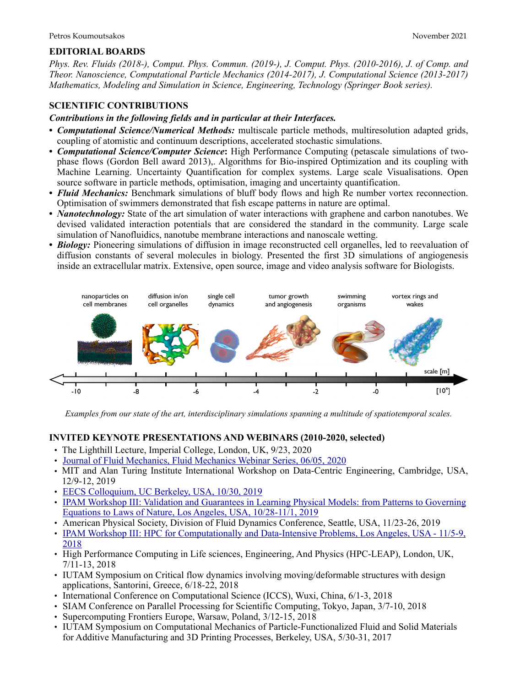#### **EDITORIAL BOARDS**

*Phys. Rev. Fluids (2018-), Comput. Phys. Commun. (2019-), J. Comput. Phys. (2010-2016), J. of Comp. and Theor. Nanoscience, Computational Particle Mechanics (2014-2017), J. Computational Science (2013-2017) Mathematics, Modeling and Simulation in Science, Engineering, Technology (Springer Book series).*

### **SCIENTIFIC CONTRIBUTIONS**

#### *Contributions in the following fields and in particular at their Interfaces.*

- **•** *Computational Science/Numerical Methods:* multiscale particle methods, multiresolution adapted grids, coupling of atomistic and continuum descriptions, accelerated stochastic simulations.
- **•** *Computational Science/Computer Science***:** High Performance Computing (petascale simulations of twophase flows (Gordon Bell award 2013),. Algorithms for Bio-inspired Optimization and its coupling with Machine Learning. Uncertainty Quantification for complex systems. Large scale Visualisations. Open source software in particle methods, optimisation, imaging and uncertainty quantification.
- *Fluid Mechanics:* Benchmark simulations of bluff body flows and high Re number vortex reconnection. Optimisation of swimmers demonstrated that fish escape patterns in nature are optimal.
- **•** *Nanotechnology:* State of the art simulation of water interactions with graphene and carbon nanotubes. We devised validated interaction potentials that are considered the standard in the community. Large scale simulation of Nanofluidics, nanotube membrane interactions and nanoscale wetting.
- **•** *Biology:* Pioneering simulations of diffusion in image reconstructed cell organelles, led to reevaluation of diffusion constants of several molecules in biology. Presented the first 3D simulations of angiogenesis inside an extracellular matrix. Extensive, open source, image and video analysis software for Biologists.



*Examples from our state of the art, interdisciplinary simulations spanning a multitude of spatiotemporal scales.*

#### **INVITED KEYNOTE PRESENTATIONS AND WEBINARS (2010-2020, selected)**

- The Lighthill Lecture, Imperial College, London, UK, 9/23, 2020
- [Journal of Fluid Mechanics, Fluid Mechanics Webinar Series, 06/05, 2020](https://consent.youtube.com/m?continue=https://www.youtube.com/watch?v=TkFAWNF3jlc&feature=youtu.be&gl=CH&m=0&pc=yt&uxe=23983171&hl=de&src=1)
- MIT and Alan Turing Institute International Workshop on Data-Centric Engineering, Cambridge, USA, 12/9-12, 2019
- [EECS Colloquium, UC Berkeley, USA, 10/30, 2019](https://www.youtube.com/watch?v=1iAXY0O9i7s&list=PLOOH0cvsa0Bqdoj7OWo5z6qDo1dSrCeH2&index=1)
- [IPAM Workshop III: Validation and Guarantees in Learning Physical Models: from Patterns to Governing](https://www.youtube.com/watch?v=gv20VsKqgpc&list=PLOOH0cvsa0Bqdoj7OWo5z6qDo1dSrCeH2&index=1)  [Equations to Laws of Nature, Los Angeles, USA, 10/28-11/1, 2019](https://www.youtube.com/watch?v=gv20VsKqgpc&list=PLOOH0cvsa0Bqdoj7OWo5z6qDo1dSrCeH2&index=1)
- American Physical Society, Division of Fluid Dynamics Conference, Seattle, USA, 11/23-26, 2019
- IPAM Workshop III: HPC for Computationally and Data-Intensive Problems, Los Angeles, USA 11/5-9, [2018](http://www.ipam.ucla.edu/abstract/?tid=15356&pcode=BDCWS3)
- High Performance Computing in Life sciences, Engineering, And Physics (HPC-LEAP), London, UK, 7/11-13, 2018
- IUTAM Symposium on Critical flow dynamics involving moving/deformable structures with design applications, Santorini, Greece, 6/18-22, 2018
- International Conference on Computational Science (ICCS), Wuxi, China, 6/1-3, 2018
- SIAM Conference on Parallel Processing for Scientific Computing, Tokyo, Japan, 3/7-10, 2018
- Supercomputing Frontiers Europe, Warsaw, Poland, 3/12-15, 2018
- IUTAM Symposium on Computational Mechanics of Particle-Functionalized Fluid and Solid Materials for Additive Manufacturing and 3D Printing Processes, Berkeley, USA, 5/30-31, 2017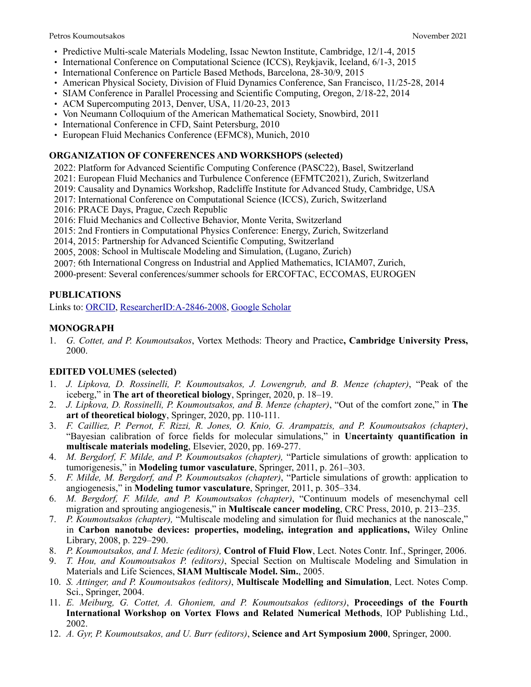- Predictive Multi-scale Materials Modeling, Issac Newton Institute, Cambridge, 12/1-4, 2015
- International Conference on Computational Science (ICCS), Reykjavik, Iceland, 6/1-3, 2015
- International Conference on Particle Based Methods, Barcelona, 28-30/9, 2015
- American Physical Society, Division of Fluid Dynamics Conference, San Francisco, 11/25-28, 2014
- SIAM Conference in Parallel Processing and Scientific Computing, Oregon, 2/18-22, 2014
- ACM Supercomputing 2013, Denver, USA, 11/20-23, 2013
- Von Neumann Colloquium of the American Mathematical Society, Snowbird, 2011
- International Conference in CFD, Saint Petersburg, 2010
- European Fluid Mechanics Conference (EFMC8), Munich, 2010

#### **ORGANIZATION OF CONFERENCES AND WORKSHOPS (selected)**

- 2022: Platform for Advanced Scientific Computing Conference (PASC22), Basel, Switzerland
- 2021: European Fluid Mechanics and Turbulence Conference (EFMTC2021), Zurich, Switzerland
- 2019: Causality and Dynamics Workshop, Radcliffe Institute for Advanced Study, Cambridge, USA
- 2017: International Conference on Computational Science (ICCS), Zurich, Switzerland
- 2016: PRACE Days, Prague, Czech Republic
- 2016: Fluid Mechanics and Collective Behavior, Monte Verita, Switzerland
- 2015: 2nd Frontiers in Computational Physics Conference: Energy, Zurich, Switzerland
- 2014, 2015: Partnership for Advanced Scientific Computing, Switzerland
- 2005, 2008: School in Multiscale Modeling and Simulation, (Lugano, Zurich)
- 2007: 6th International Congress on Industrial and Applied Mathematics, ICIAM07, Zurich,

2000-present: Several conferences/summer schools for ERCOFTAC, ECCOMAS, EUROGEN

# **PUBLICATIONS**

Links to: [ORCID](https://orcid.org/0000-0001-8337-2122), [ResearcherID:A-2846-2008](http://www.researcherid.com/rid/A-2846-2008), [Google Scholar](http://scholar.google.ch/citations?user=IaDP3mkAAAAJ&hl=en&oi=ao)

# **MONOGRAPH**

1. *G. Cottet, and P. Koumoutsakos*, Vortex Methods: Theory and Practice**, Cambridge University Press,**  2000.

# **EDITED VOLUMES (selected)**

- 1. *J. Lipkova, D. Rossinelli, P. Koumoutsakos, J. Lowengrub, and B. Menze (chapter)*, "Peak of the iceberg," in **The art of theoretical biology**, Springer, 2020, p. 18–19.
- 2. *J. Lipkova, D. Rossinelli, P. Koumoutsakos, and B. Menze (chapter)*, "Out of the comfort zone," in **The art of theoretical biology**, Springer, 2020, pp. 110-111.
- 3. *F. Cailliez, P. Pernot, F. Rizzi, R. Jones, O. Knio, G. Arampatzis, and P. Koumoutsakos (chapter)*, "Bayesian calibration of force fields for molecular simulations," in **Uncertainty quantification in multiscale materials modeling**, Elsevier, 2020, pp. 169-277.
- 4. *M. Bergdorf, F. Milde, and P. Koumoutsakos (chapter),* "Particle simulations of growth: application to tumorigenesis," in **Modeling tumor vasculature**, Springer, 2011, p. 261–303.
- 5. *F. Milde, M. Bergdorf, and P. Koumoutsakos (chapter)*, "Particle simulations of growth: application to angiogenesis," in **Modeling tumor vasculature**, Springer, 2011, p. 305–334.
- 6. *M. Bergdorf, F. Milde, and P. Koumoutsakos (chapter)*, "Continuum models of mesenchymal cell migration and sprouting angiogenesis," in **Multiscale cancer modeling**, CRC Press, 2010, p. 213–235.
- 7. *P. Koumoutsakos (chapter),* "Multiscale modeling and simulation for fluid mechanics at the nanoscale," in **Carbon nanotube devices: properties, modeling, integration and applications,** Wiley Online Library, 2008, p. 229–290.
- 8. *P. Koumoutsakos, and I. Mezic (editors),* **Control of Fluid Flow**, Lect. Notes Contr. Inf., Springer, 2006.
- 9. *T. Hou, and Koumoutsakos P. (editors)*, Special Section on Multiscale Modeling and Simulation in Materials and Life Sciences, **SIAM Multiscale Model. Sim.**, 2005.
- 10. *S. Attinger, and P. Koumoutsakos (editors)*, **Multiscale Modelling and Simulation**, Lect. Notes Comp. Sci., Springer, 2004.
- 11. *E. Meiburg, G. Cottet, A. Ghoniem, and P. Koumoutsakos (editors)*, **Proceedings of the Fourth International Workshop on Vortex Flows and Related Numerical Methods**, IOP Publishing Ltd., 2002.
- 12. *A. Gyr, P. Koumoutsakos, and U. Burr (editors)*, **Science and Art Symposium 2000**, Springer, 2000.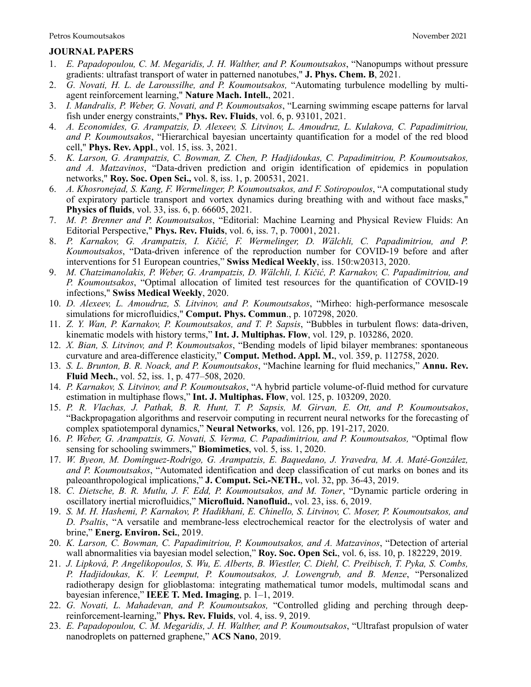#### **JOURNAL PAPERS**

- 1. *E. Papadopoulou, C. M. Megaridis, J. H. Walther, and P. Koumoutsakos*, "Nanopumps without pressure gradients: ultrafast transport of water in patterned nanotubes," **J. Phys. Chem. B**, 2021.
- 2. *G. Novati, H. L. de Laroussilhe, and P. Koumoutsakos,* "Automating turbulence modelling by multiagent reinforcement learning," **Nature Mach. Intell.**, 2021.
- 3. *I. Mandralis, P. Weber, G. Novati, and P. Koumoutsakos*, "Learning swimming escape patterns for larval fish under energy constraints," **Phys. Rev. Fluids**, vol. 6, p. 93101, 2021.
- 4. *A. Economides, G. Arampatzis, D. Alexeev, S. Litvinov, L. Amoudruz, L. Kulakova, C. Papadimitriou, and P. Koumoutsakos*, "Hierarchical bayesian uncertainty quantification for a model of the red blood cell," **Phys. Rev. Appl**., vol. 15, iss. 3, 2021.
- 5. *K. Larson, G. Arampatzis, C. Bowman, Z. Chen, P. Hadjidoukas, C. Papadimitriou, P. Koumoutsakos, and A. Matzavinos*, "Data-driven prediction and origin identification of epidemics in population networks," **Roy. Soc. Open Sci.,** vol. 8, iss. 1, p. 200531, 2021.
- 6. *A. Khosronejad, S. Kang, F. Wermelinger, P. Koumoutsakos, and F. Sotiropoulos*, "A computational study of expiratory particle transport and vortex dynamics during breathing with and without face masks," **Physics of fluids**, vol. 33, iss. 6, p. 66605, 2021.
- 7. *M. P. Brenner and P. Koumoutsakos*, "Editorial: Machine Learning and Physical Review Fluids: An Editorial Perspective," **Phys. Rev. Fluids**, vol. 6, iss. 7, p. 70001, 2021.
- 8. *P. Karnakov, G. Arampatzis, I. Kičić, F. Wermelinger, D. Wälchli, C. Papadimitriou, and P. Koumoutsakos*, "Data-driven inference of the reproduction number for COVID-19 before and after interventions for 51 European countries," **Swiss Medical Weekly**, iss. 150:w20313, 2020.
- 9. *M. Chatzimanolakis, P. Weber, G. Arampatzis, D. Wälchli, I. Kičić, P. Karnakov, C. Papadimitriou, and P. Koumoutsakos*, "Optimal allocation of limited test resources for the quantification of COVID-19 infections," **Swiss Medical Weekly**, 2020.
- 10. *D. Alexeev, L. Amoudruz, S. Litvinov, and P. Koumoutsakos*, "Mirheo: high-performance mesoscale simulations for microfluidics," **Comput. Phys. Commun**., p. 107298, 2020.
- 11. *Z. Y. Wan, P. Karnakov, P. Koumoutsakos, and T. P. Sapsis*, "Bubbles in turbulent flows: data-driven, kinematic models with history terms," **Int. J. Multiphas. Flow**, vol. 129, p. 103286, 2020.
- 12. *X. Bian, S. Litvinov, and P. Koumoutsakos*, "Bending models of lipid bilayer membranes: spontaneous curvature and area-difference elasticity," **Comput. Method. Appl. M.**, vol. 359, p. 112758, 2020.
- 13. *S. L. Brunton, B. R. Noack, and P. Koumoutsakos*, "Machine learning for fluid mechanics," **Annu. Rev. Fluid Mech.**, vol. 52, iss. 1, p. 477–508, 2020.
- 14. *P. Karnakov, S. Litvinov, and P. Koumoutsakos*, "A hybrid particle volume-of-fluid method for curvature estimation in multiphase flows," **Int. J. Multiphas. Flow**, vol. 125, p. 103209, 2020.
- 15. *P. R. Vlachas, J. Pathak, B. R. Hunt, T. P. Sapsis, M. Girvan, E. Ott, and P. Koumoutsakos*, "Backpropagation algorithms and reservoir computing in recurrent neural networks for the forecasting of complex spatiotemporal dynamics," **Neural Networks**, vol. 126, pp. 191-217, 2020.
- 16. *P. Weber, G. Arampatzis, G. Novati, S. Verma, C. Papadimitriou, and P. Koumoutsakos,* "Optimal flow sensing for schooling swimmers," **Biomimetics**, vol. 5, iss. 1, 2020.
- 17. *W. Byeon, M. Domínguez-Rodrigo, G. Arampatzis, E. Baquedano, J. Yravedra, M. A. Maté-González, and P. Koumoutsakos*, "Automated identification and deep classification of cut marks on bones and its paleoanthropological implications," **J. Comput. Sci.-NETH.**, vol. 32, pp. 36-43, 2019.
- 18. *C. Dietsche, B. R. Mutlu, J. F. Edd, P. Koumoutsakos, and M. Toner*, "Dynamic particle ordering in oscillatory inertial microfluidics," **Microfluid. Nanofluid.**, vol. 23, iss. 6, 2019.
- 19. *S. M. H. Hashemi, P. Karnakov, P. Hadikhani, E. Chinello, S. Litvinov, C. Moser, P. Koumoutsakos, and D. Psaltis*, "A versatile and membrane-less electrochemical reactor for the electrolysis of water and brine," **Energ. Environ. Sci.**, 2019.
- 20. *K. Larson, C. Bowman, C. Papadimitriou, P. Koumoutsakos, and A. Matzavinos*, "Detection of arterial wall abnormalities via bayesian model selection," **Roy. Soc. Open Sci.**, vol. 6, iss. 10, p. 182229, 2019.
- 21. *J. Lipková, P. Angelikopoulos, S. Wu, E. Alberts, B. Wiestler, C. Diehl, C. Preibisch, T. Pyka, S. Combs, P. Hadjidoukas, K. V. Leemput, P. Koumoutsakos, J. Lowengrub, and B. Menze*, "Personalized radiotherapy design for glioblastoma: integrating mathematical tumor models, multimodal scans and bayesian inference," **IEEE T. Med. Imaging**, p. 1–1, 2019.
- 22. *G. Novati, L. Mahadevan, and P. Koumoutsakos,* "Controlled gliding and perching through deepreinforcement-learning," **Phys. Rev. Fluids**, vol. 4, iss. 9, 2019.
- 23. *E. Papadopoulou, C. M. Megaridis, J. H. Walther, and P. Koumoutsakos*, "Ultrafast propulsion of water nanodroplets on patterned graphene," **ACS Nano**, 2019.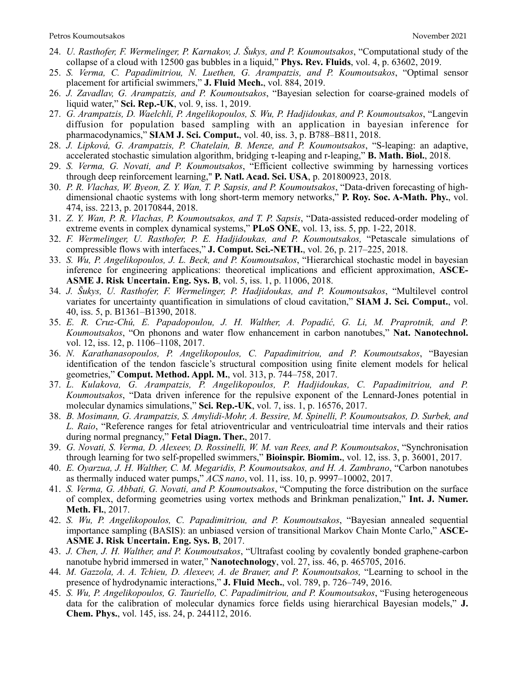- 24. *U. Rasthofer, F. Wermelinger, P. Karnakov, J. Šukys, and P. Koumoutsakos*, "Computational study of the collapse of a cloud with 12500 gas bubbles in a liquid," **Phys. Rev. Fluids**, vol. 4, p. 63602, 2019.
- 25. *S. Verma, C. Papadimitriou, N. Luethen, G. Arampatzis, and P. Koumoutsakos*, "Optimal sensor placement for artificial swimmers," **J. Fluid Mech.**, vol. 884, 2019.
- 26. *J. Zavadlav, G. Arampatzis, and P. Koumoutsakos*, "Bayesian selection for coarse-grained models of liquid water," **Sci. Rep.-UK**, vol. 9, iss. 1, 2019.
- 27. *G. Arampatzis, D. Waelchli, P. Angelikopoulos, S. Wu, P. Hadjidoukas, and P. Koumoutsakos*, "Langevin diffusion for population based sampling with an application in bayesian inference for pharmacodynamics," **SIAM J. Sci. Comput.**, vol. 40, iss. 3, p. B788–B811, 2018.
- 28. *J. Lipková, G. Arampatzis, P. Chatelain, B. Menze, and P. Koumoutsakos*, "S-leaping: an adaptive, accelerated stochastic simulation algorithm, bridging τ-leaping and r-leaping," **B. Math. Biol.**, 2018.
- 29. *S. Verma, G. Novati, and P. Koumoutsakos*, "Efficient collective swimming by harnessing vortices through deep reinforcement learning," **P. Natl. Acad. Sci. USA**, p. 201800923, 2018.
- 30. *P. R. Vlachas, W. Byeon, Z. Y. Wan, T. P. Sapsis, and P. Koumoutsakos*, "Data-driven forecasting of highdimensional chaotic systems with long short-term memory networks," **P. Roy. Soc. A-Math. Phy.**, vol. 474, iss. 2213, p. 20170844, 2018.
- 31. *Z. Y. Wan, P. R. Vlachas, P. Koumoutsakos, and T. P. Sapsis*, "Data-assisted reduced-order modeling of extreme events in complex dynamical systems," **PLoS ONE**, vol. 13, iss. 5, pp. 1-22, 2018.
- 32. *F. Wermelinger, U. Rasthofer, P. E. Hadjidoukas, and P. Koumoutsakos,* "Petascale simulations of compressible flows with interfaces," **J. Comput. Sci.-NETH.**, vol. 26, p. 217–225, 2018.
- 33. *S. Wu, P. Angelikopoulos, J. L. Beck, and P. Koumoutsakos*, "Hierarchical stochastic model in bayesian inference for engineering applications: theoretical implications and efficient approximation, **ASCE-ASME J. Risk Uncertain. Eng. Sys. B**, vol. 5, iss. 1, p. 11006, 2018.
- 34. *J. Šukys, U. Rasthofer, F. Wermelinger, P. Hadjidoukas, and P. Koumoutsakos*, "Multilevel control variates for uncertainty quantification in simulations of cloud cavitation," **SIAM J. Sci. Comput.**, vol. 40, iss. 5, p. B1361–B1390, 2018.
- 35. *E. R. Cruz-Chú, E. Papadopoulou, J. H. Walther, A. Popadić, G. Li, M. Praprotnik, and P. Koumoutsakos*, "On phonons and water flow enhancement in carbon nanotubes," **Nat. Nanotechnol.** vol. 12, iss. 12, p. 1106–1108, 2017.
- 36. *N. Karathanasopoulos, P. Angelikopoulos, C. Papadimitriou, and P. Koumoutsakos*, "Bayesian identification of the tendon fascicle's structural composition using finite element models for helical geometries," **Comput. Method. Appl. M.**, vol. 313, p. 744–758, 2017.
- 37. *L. Kulakova, G. Arampatzis, P. Angelikopoulos, P. Hadjidoukas, C. Papadimitriou, and P. Koumoutsakos*, "Data driven inference for the repulsive exponent of the Lennard-Jones potential in molecular dynamics simulations," **Sci. Rep.-UK**, vol. 7, iss. 1, p. 16576, 2017.
- 38. *B. Mosimann, G. Arampatzis, S. Amylidi-Mohr, A. Bessire, M. Spinelli, P. Koumoutsakos, D. Surbek, and L. Raio*, "Reference ranges for fetal atrioventricular and ventriculoatrial time intervals and their ratios during normal pregnancy," **Fetal Diagn. Ther.**, 2017.
- 39. *G. Novati, S. Verma, D. Alexeev, D. Rossinelli, W. M. van Rees, and P. Koumoutsakos*, "Synchronisation through learning for two self-propelled swimmers," **Bioinspir. Biomim.**, vol. 12, iss. 3, p. 36001, 2017.
- 40. *E. Oyarzua, J. H. Walther, C. M. Megaridis, P. Koumoutsakos, and H. A. Zambrano*, "Carbon nanotubes as thermally induced water pumps," *ACS nano*, vol. 11, iss. 10, p. 9997–10002, 2017.
- 41. *S. Verma, G. Abbati, G. Novati, and P. Koumoutsakos*, "Computing the force distribution on the surface of complex, deforming geometries using vortex methods and Brinkman penalization," **Int. J. Numer. Meth. Fl.**, 2017.
- 42. *S. Wu, P. Angelikopoulos, C. Papadimitriou, and P. Koumoutsakos*, "Bayesian annealed sequential importance sampling (BASIS): an unbiased version of transitional Markov Chain Monte Carlo," **ASCE-ASME J. Risk Uncertain. Eng. Sys. B**, 2017.
- 43. *J. Chen, J. H. Walther, and P. Koumoutsakos*, "Ultrafast cooling by covalently bonded graphene-carbon nanotube hybrid immersed in water," **Nanotechnology**, vol. 27, iss. 46, p. 465705, 2016.
- 44. *M. Gazzola, A. A. Tchieu, D. Alexeev, A. de Brauer, and P. Koumoutsakos,* "Learning to school in the presence of hydrodynamic interactions," **J. Fluid Mech.**, vol. 789, p. 726–749, 2016.
- 45. *S. Wu, P. Angelikopoulos, G. Tauriello, C. Papadimitriou, and P. Koumoutsakos*, "Fusing heterogeneous data for the calibration of molecular dynamics force fields using hierarchical Bayesian models," **J. Chem. Phys.**, vol. 145, iss. 24, p. 244112, 2016.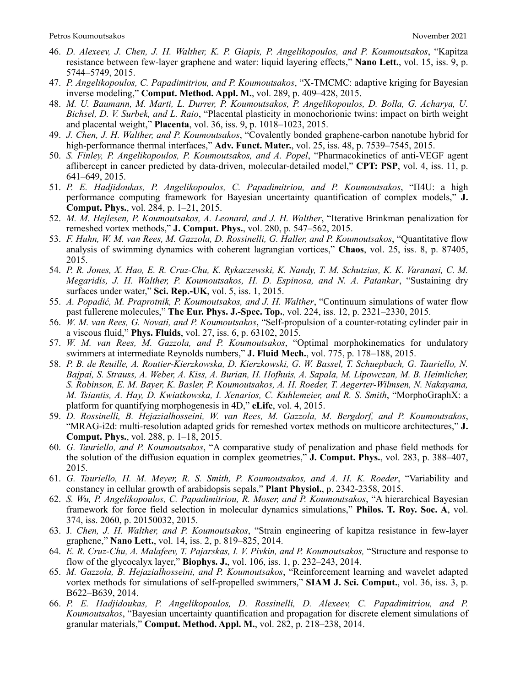- 46. *D. Alexeev, J. Chen, J. H. Walther, K. P. Giapis, P. Angelikopoulos, and P. Koumoutsakos*, "Kapitza resistance between few-layer graphene and water: liquid layering effects," **Nano Lett.**, vol. 15, iss. 9, p. 5744–5749, 2015.
- 47. *P. Angelikopoulos, C. Papadimitriou, and P. Koumoutsakos*, "X-TMCMC: adaptive kriging for Bayesian inverse modeling," **Comput. Method. Appl. M.**, vol. 289, p. 409–428, 2015.
- 48. *M. U. Baumann, M. Marti, L. Durrer, P. Koumoutsakos, P. Angelikopoulos, D. Bolla, G. Acharya, U. Bichsel, D. V. Surbek, and L. Raio*, "Placental plasticity in monochorionic twins: impact on birth weight and placental weight," **Placenta**, vol. 36, iss. 9, p. 1018–1023, 2015.
- 49. *J. Chen, J. H. Walther, and P. Koumoutsakos*, "Covalently bonded graphene-carbon nanotube hybrid for high-performance thermal interfaces," **Adv. Funct. Mater.**, vol. 25, iss. 48, p. 7539–7545, 2015.
- 50. *S. Finley, P. Angelikopoulos, P. Koumoutsakos, and A. Popel*, "Pharmacokinetics of anti-VEGF agent aflibercept in cancer predicted by data-driven, molecular-detailed model," **CPT: PSP**, vol. 4, iss. 11, p. 641–649, 2015.
- 51. *P. E. Hadjidoukas, P. Angelikopoulos, C. Papadimitriou, and P. Koumoutsakos*, "Π4U: a high performance computing framework for Bayesian uncertainty quantification of complex models," **J. Comput. Phys.**, vol. 284, p. 1–21, 2015.
- 52. *M. M. Hejlesen, P. Koumoutsakos, A. Leonard, and J. H. Walther*, "Iterative Brinkman penalization for remeshed vortex methods," **J. Comput. Phys.**, vol. 280, p. 547–562, 2015.
- 53. *F. Huhn, W. M. van Rees, M. Gazzola, D. Rossinelli, G. Haller, and P. Koumoutsakos*, "Quantitative flow analysis of swimming dynamics with coherent lagrangian vortices," **Chaos**, vol. 25, iss. 8, p. 87405, 2015.
- 54. *P. R. Jones, X. Hao, E. R. Cruz-Chu, K. Rykaczewski, K. Nandy, T. M. Schutzius, K. K. Varanasi, C. M. Megaridis, J. H. Walther, P. Koumoutsakos, H. D. Espinosa, and N. A. Patankar*, "Sustaining dry surfaces under water," **Sci. Rep.-UK**, vol. 5, iss. 1, 2015.
- 55. *A. Popadić, M. Praprotnik, P. Koumoutsakos, and J. H. Walther*, "Continuum simulations of water flow past fullerene molecules," **The Eur. Phys. J.-Spec. Top.**, vol. 224, iss. 12, p. 2321–2330, 2015.
- 56. *W. M. van Rees, G. Novati, and P. Koumoutsakos*, "Self-propulsion of a counter-rotating cylinder pair in a viscous fluid," **Phys. Fluids**, vol. 27, iss. 6, p. 63102, 2015.
- 57. *W. M. van Rees, M. Gazzola, and P. Koumoutsakos*, "Optimal morphokinematics for undulatory swimmers at intermediate Reynolds numbers," **J. Fluid Mech.**, vol. 775, p. 178–188, 2015.
- 58. *P. B. de Reuille, A. Routier-Kierzkowska, D. Kierzkowski, G. W. Bassel, T. Schuepbach, G. Tauriello, N. Bajpai, S. Strauss, A. Weber, A. Kiss, A. Burian, H. Hofhuis, A. Sapala, M. Lipowczan, M. B. Heimlicher, S. Robinson, E. M. Bayer, K. Basler, P. Koumoutsakos, A. H. Roeder, T. Aegerter-Wilmsen, N. Nakayama, M. Tsiantis, A. Hay, D. Kwiatkowska, I. Xenarios, C. Kuhlemeier, and R. S. Smith*, "MorphoGraphX: a platform for quantifying morphogenesis in 4D," **eLife**, vol. 4, 2015.
- 59. *D. Rossinelli, B. Hejazialhosseini, W. van Rees, M. Gazzola, M. Bergdorf, and P. Koumoutsakos*, "MRAG-i2d: multi-resolution adapted grids for remeshed vortex methods on multicore architectures," **J. Comput. Phys.**, vol. 288, p. 1–18, 2015.
- 60. *G. Tauriello, and P. Koumoutsakos*, "A comparative study of penalization and phase field methods for the solution of the diffusion equation in complex geometries," **J. Comput. Phys.**, vol. 283, p. 388–407, 2015.
- 61. *G. Tauriello, H. M. Meyer, R. S. Smith, P. Koumoutsakos, and A. H. K. Roeder*, "Variability and constancy in cellular growth of arabidopsis sepals," **Plant Physiol.**, p. 2342-2358, 2015.
- 62. *S. Wu, P. Angelikopoulos, C. Papadimitriou, R. Moser, and P. Koumoutsakos*, "A hierarchical Bayesian framework for force field selection in molecular dynamics simulations," **Philos. T. Roy. Soc. A**, vol. 374, iss. 2060, p. 20150032, 2015.
- 63. J*. Chen, J. H. Walther, and P. Koumoutsakos*, "Strain engineering of kapitza resistance in few-layer graphene," **Nano Lett.**, vol. 14, iss. 2, p. 819–825, 2014.
- 64. *E. R. Cruz-Chu, A. Malafeev, T. Pajarskas, I. V. Pivkin, and P. Koumoutsakos,* "Structure and response to flow of the glycocalyx layer," **Biophys. J.**, vol. 106, iss. 1, p. 232–243, 2014.
- 65. *M. Gazzola, B. Hejazialhosseini, and P. Koumoutsakos*, "Reinforcement learning and wavelet adapted vortex methods for simulations of self-propelled swimmers," **SIAM J. Sci. Comput.**, vol. 36, iss. 3, p. B622–B639, 2014.
- 66. *P. E. Hadjidoukas, P. Angelikopoulos, D. Rossinelli, D. Alexeev, C. Papadimitriou, and P. Koumoutsakos*, "Bayesian uncertainty quantification and propagation for discrete element simulations of granular materials," **Comput. Method. Appl. M.**, vol. 282, p. 218–238, 2014.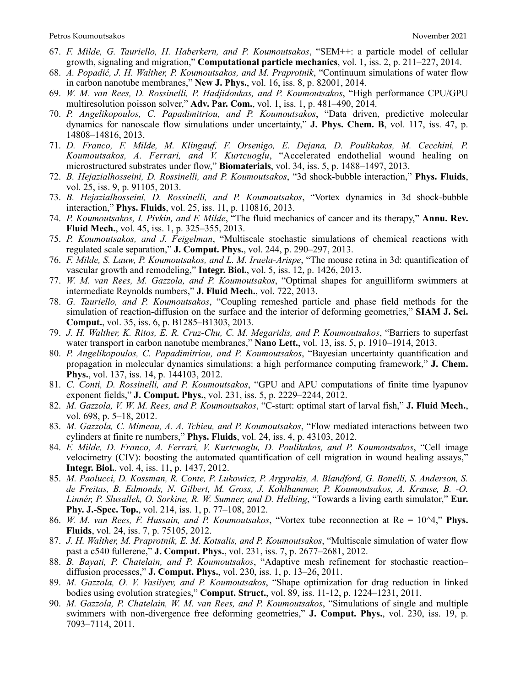- 67. *F. Milde, G. Tauriello, H. Haberkern, and P. Koumoutsakos*, "SEM++: a particle model of cellular growth, signaling and migration," **Computational particle mechanics**, vol. 1, iss. 2, p. 211–227, 2014.
- 68. *A. Popadić, J. H. Walther, P. Koumoutsakos, and M. Praprotnik*, "Continuum simulations of water flow in carbon nanotube membranes," **New J. Phys.**, vol. 16, iss. 8, p. 82001, 2014.
- 69. *W. M. van Rees, D. Rossinelli, P. Hadjidoukas, and P. Koumoutsakos*, "High performance CPU/GPU multiresolution poisson solver," **Adv. Par. Com.**, vol. 1, iss. 1, p. 481–490, 2014.
- 70. *P. Angelikopoulos, C. Papadimitriou, and P. Koumoutsakos*, "Data driven, predictive molecular dynamics for nanoscale flow simulations under uncertainty," **J. Phys. Chem. B**, vol. 117, iss. 47, p. 14808–14816, 2013.
- 71. *D. Franco, F. Milde, M. Klingauf, F. Orsenigo, E. Dejana, D. Poulikakos, M. Cecchini, P. Koumoutsakos, A. Ferrari, and V. Kurtcuoglu*, "Accelerated endothelial wound healing on microstructured substrates under flow," **Biomaterials**, vol. 34, iss. 5, p. 1488–1497, 2013.
- 72. *B. Hejazialhosseini, D. Rossinelli, and P. Koumoutsakos*, "3d shock-bubble interaction," **Phys. Fluids**, vol. 25, iss. 9, p. 91105, 2013.
- 73. *B. Hejazialhosseini, D. Rossinelli, and P. Koumoutsakos*, "Vortex dynamics in 3d shock-bubble interaction," **Phys. Fluids**, vol. 25, iss. 11, p. 110816, 2013.
- 74. *P. Koumoutsakos, I. Pivkin, and F. Milde*, "The fluid mechanics of cancer and its therapy," **Annu. Rev. Fluid Mech.**, vol. 45, iss. 1, p. 325–355, 2013.
- 75. *P. Koumoutsakos, and J. Feigelman*, "Multiscale stochastic simulations of chemical reactions with regulated scale separation," **J. Comput. Phys.**, vol. 244, p. 290–297, 2013.
- 76. *F. Milde, S. Lauw, P. Koumoutsakos, and L. M. Iruela-Arispe*, "The mouse retina in 3d: quantification of vascular growth and remodeling," **Integr. Biol.**, vol. 5, iss. 12, p. 1426, 2013.
- 77. *W. M. van Rees, M. Gazzola, and P. Koumoutsakos*, "Optimal shapes for anguilliform swimmers at intermediate Reynolds numbers," **J. Fluid Mech.**, vol. 722, 2013.
- 78. *G. Tauriello, and P. Koumoutsakos*, "Coupling remeshed particle and phase field methods for the simulation of reaction-diffusion on the surface and the interior of deforming geometries," **SIAM J. Sci. Comput.**, vol. 35, iss. 6, p. B1285–B1303, 2013.
- 79. *J. H. Walther, K. Ritos, E. R. Cruz-Chu, C. M. Megaridis, and P. Koumoutsakos*, "Barriers to superfast water transport in carbon nanotube membranes," **Nano Lett.**, vol. 13, iss. 5, p. 1910–1914, 2013.
- 80. *P. Angelikopoulos, C. Papadimitriou, and P. Koumoutsakos*, "Bayesian uncertainty quantification and propagation in molecular dynamics simulations: a high performance computing framework," **J. Chem. Phys.**, vol. 137, iss. 14, p. 144103, 2012.
- 81. *C. Conti, D. Rossinelli, and P. Koumoutsakos*, "GPU and APU computations of finite time lyapunov exponent fields," **J. Comput. Phys.**, vol. 231, iss. 5, p. 2229–2244, 2012.
- 82. *M. Gazzola, V. W. M. Rees, and P. Koumoutsakos*, "C-start: optimal start of larval fish," **J. Fluid Mech.**, vol. 698, p. 5–18, 2012.
- 83. *M. Gazzola, C. Mimeau, A. A. Tchieu, and P. Koumoutsakos*, "Flow mediated interactions between two cylinders at finite re numbers," **Phys. Fluids**, vol. 24, iss. 4, p. 43103, 2012.
- 84. *F. Milde, D. Franco, A. Ferrari, V. Kurtcuoglu, D. Poulikakos, and P. Koumoutsakos*, "Cell image velocimetry (CIV): boosting the automated quantification of cell migration in wound healing assays," **Integr. Biol.**, vol. 4, iss. 11, p. 1437, 2012.
- 85. *M. Paolucci, D. Kossman, R. Conte, P. Lukowicz, P. Argyrakis, A. Blandford, G. Bonelli, S. Anderson, S. de Freitas, B. Edmonds, N. Gilbert, M. Gross, J. Kohlhammer, P. Koumoutsakos, A. Krause, B. -O. Linnér, P. Slusallek, O. Sorkine, R. W. Sumner, and D. Helbing*, "Towards a living earth simulator," **Eur. Phy. J.-Spec. Top.**, vol. 214, iss. 1, p. 77–108, 2012.
- 86. *W. M. van Rees, F. Hussain, and P. Koumoutsakos*, "Vortex tube reconnection at Re = 10^4," **Phys. Fluids**, vol. 24, iss. 7, p. 75105, 2012.
- 87. *J. H. Walther, M. Praprotnik, E. M. Kotsalis, and P. Koumoutsakos*, "Multiscale simulation of water flow past a c540 fullerene," **J. Comput. Phys.**, vol. 231, iss. 7, p. 2677–2681, 2012.
- 88. *B. Bayati, P. Chatelain, and P. Koumoutsakos*, "Adaptive mesh refinement for stochastic reaction– diffusion processes," **J. Comput. Phys.**, vol. 230, iss. 1, p. 13–26, 2011.
- 89. *M. Gazzola, O. V. Vasilyev, and P. Koumoutsakos*, "Shape optimization for drag reduction in linked bodies using evolution strategies," **Comput. Struct.**, vol. 89, iss. 11-12, p. 1224–1231, 2011.
- 90. *M. Gazzola, P. Chatelain, W. M. van Rees, and P. Koumoutsakos*, "Simulations of single and multiple swimmers with non-divergence free deforming geometries," **J. Comput. Phys.**, vol. 230, iss. 19, p. 7093–7114, 2011.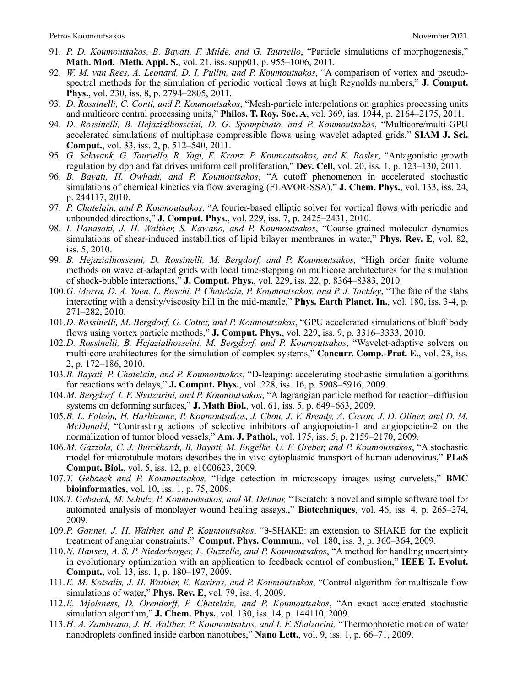- 91. *P. D. Koumoutsakos, B. Bayati, F. Milde, and G. Tauriello*, "Particle simulations of morphogenesis," **Math. Mod. Meth. Appl. S.**, vol. 21, iss. supp01, p. 955–1006, 2011.
- 92. *W. M. van Rees, A. Leonard, D. I. Pullin, and P. Koumoutsakos*, "A comparison of vortex and pseudospectral methods for the simulation of periodic vortical flows at high Reynolds numbers," **J. Comput. Phys.**, vol. 230, iss. 8, p. 2794–2805, 2011.
- 93. *D. Rossinelli, C. Conti, and P. Koumoutsakos*, "Mesh-particle interpolations on graphics processing units and multicore central processing units," **Philos. T. Roy. Soc. A**, vol. 369, iss. 1944, p. 2164–2175, 2011.
- 94. *D. Rossinelli, B. Hejazialhosseini, D. G. Spampinato, and P. Koumoutsakos*, "Multicore/multi-GPU accelerated simulations of multiphase compressible flows using wavelet adapted grids," **SIAM J. Sci. Comput.**, vol. 33, iss. 2, p. 512–540, 2011.
- 95. *G. Schwank, G. Tauriello, R. Yagi, E. Kranz, P. Koumoutsakos, and K. Basler*, "Antagonistic growth regulation by dpp and fat drives uniform cell proliferation," **Dev. Cell**, vol. 20, iss. 1, p. 123–130, 2011.
- 96. *B. Bayati, H. Owhadi, and P. Koumoutsakos*, "A cutoff phenomenon in accelerated stochastic simulations of chemical kinetics via flow averaging (FLAVOR-SSA)," **J. Chem. Phys.**, vol. 133, iss. 24, p. 244117, 2010.
- 97. *P. Chatelain, and P. Koumoutsakos*, "A fourier-based elliptic solver for vortical flows with periodic and unbounded directions," **J. Comput. Phys.**, vol. 229, iss. 7, p. 2425–2431, 2010.
- 98. *I. Hanasaki, J. H. Walther, S. Kawano, and P. Koumoutsakos*, "Coarse-grained molecular dynamics simulations of shear-induced instabilities of lipid bilayer membranes in water," **Phys. Rev. E**, vol. 82, iss. 5, 2010.
- 99. *B. Hejazialhosseini, D. Rossinelli, M. Bergdorf, and P. Koumoutsakos,* "High order finite volume methods on wavelet-adapted grids with local time-stepping on multicore architectures for the simulation of shock-bubble interactions," **J. Comput. Phys.**, vol. 229, iss. 22, p. 8364–8383, 2010.
- 100.*G. Morra, D. A. Yuen, L. Boschi, P. Chatelain, P. Koumoutsakos, and P. J. Tackley*, "The fate of the slabs interacting with a density/viscosity hill in the mid-mantle," **Phys. Earth Planet. In.**, vol. 180, iss. 3-4, p. 271–282, 2010.
- 101.*D. Rossinelli, M. Bergdorf, G. Cottet, and P. Koumoutsakos*, "GPU accelerated simulations of bluff body flows using vortex particle methods," **J. Comput. Phys.**, vol. 229, iss. 9, p. 3316–3333, 2010.
- 102.*D. Rossinelli, B. Hejazialhosseini, M. Bergdorf, and P. Koumoutsakos*, "Wavelet-adaptive solvers on multi-core architectures for the simulation of complex systems," **Concurr. Comp.-Prat. E.**, vol. 23, iss. 2, p. 172–186, 2010.
- 103.*B. Bayati, P. Chatelain, and P. Koumoutsakos*, "D-leaping: accelerating stochastic simulation algorithms for reactions with delays," **J. Comput. Phys.**, vol. 228, iss. 16, p. 5908–5916, 2009.
- 104.*M. Bergdorf, I. F. Sbalzarini, and P. Koumoutsakos*, "A lagrangian particle method for reaction–diffusion systems on deforming surfaces," **J. Math Biol.**, vol. 61, iss. 5, p. 649–663, 2009.
- 105.*B. L. Falcón, H. Hashizume, P. Koumoutsakos, J. Chou, J. V. Bready, A. Coxon, J. D. Oliner, and D. M. McDonald*, "Contrasting actions of selective inhibitors of angiopoietin-1 and angiopoietin-2 on the normalization of tumor blood vessels," **Am. J. Pathol.**, vol. 175, iss. 5, p. 2159–2170, 2009.
- 106.*M. Gazzola, C. J. Burckhardt, B. Bayati, M. Engelke, U. F. Greber, and P. Koumoutsakos*, "A stochastic model for microtubule motors describes the in vivo cytoplasmic transport of human adenovirus," **PLoS Comput. Biol.**, vol. 5, iss. 12, p. e1000623, 2009.
- 107.*T. Gebaeck and P. Koumoutsakos,* "Edge detection in microscopy images using curvelets," **BMC bioinformatics**, vol. 10, iss. 1, p. 75, 2009.
- 108.*T. Gebaeck, M. Schulz, P. Koumoutsakos, and M. Detmar,* "Tscratch: a novel and simple software tool for automated analysis of monolayer wound healing assays.," **Biotechniques**, vol. 46, iss. 4, p. 265–274, 2009.
- 109.*P. Gonnet, J. H. Walther, and P. Koumoutsakos*, "ϑ-SHAKE: an extension to SHAKE for the explicit treatment of angular constraints," **Comput. Phys. Commun.**, vol. 180, iss. 3, p. 360–364, 2009.
- 110.*N. Hansen, A. S. P. Niederberger, L. Guzzella, and P. Koumoutsakos*, "A method for handling uncertainty in evolutionary optimization with an application to feedback control of combustion," **IEEE T. Evolut. Comput.**, vol. 13, iss. 1, p. 180–197, 2009.
- 111.*E. M. Kotsalis, J. H. Walther, E. Kaxiras, and P. Koumoutsakos*, "Control algorithm for multiscale flow simulations of water," **Phys. Rev. E**, vol. 79, iss. 4, 2009.
- 112.*E. Mjolsness, D. Orendorff, P. Chatelain, and P. Koumoutsakos*, "An exact accelerated stochastic simulation algorithm," **J. Chem. Phys.**, vol. 130, iss. 14, p. 144110, 2009.
- 113.*H. A. Zambrano, J. H. Walther, P. Koumoutsakos, and I. F. Sbalzarini,* "Thermophoretic motion of water nanodroplets confined inside carbon nanotubes," **Nano Lett.**, vol. 9, iss. 1, p. 66–71, 2009.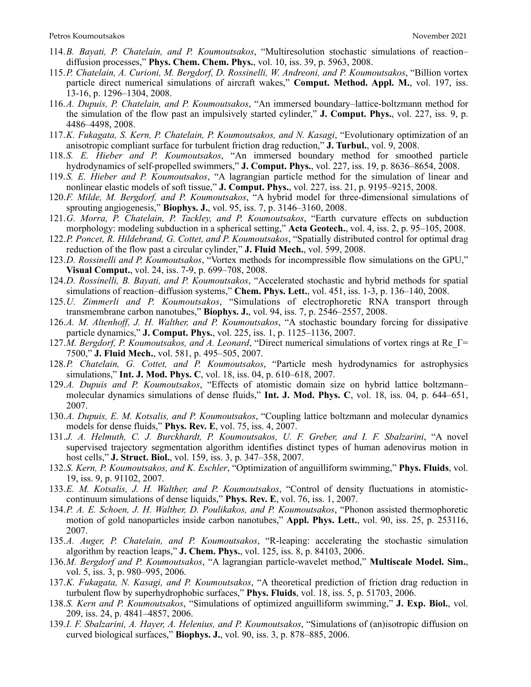- 114.*B. Bayati, P. Chatelain, and P. Koumoutsakos*, "Multiresolution stochastic simulations of reaction– diffusion processes," **Phys. Chem. Chem. Phys.**, vol. 10, iss. 39, p. 5963, 2008.
- 115.*P. Chatelain, A. Curioni, M. Bergdorf, D. Rossinelli, W. Andreoni, and P. Koumoutsakos*, "Billion vortex particle direct numerical simulations of aircraft wakes," **Comput. Method. Appl. M.**, vol. 197, iss. 13-16, p. 1296–1304, 2008.
- 116.*A. Dupuis, P. Chatelain, and P. Koumoutsakos*, "An immersed boundary–lattice-boltzmann method for the simulation of the flow past an impulsively started cylinder," **J. Comput. Phys.**, vol. 227, iss. 9, p. 4486–4498, 2008.
- 117.*K. Fukagata, S. Kern, P. Chatelain, P. Koumoutsakos, and N. Kasagi*, "Evolutionary optimization of an anisotropic compliant surface for turbulent friction drag reduction," **J. Turbul.**, vol. 9, 2008.
- 118.*S. E. Hieber and P. Koumoutsakos*, "An immersed boundary method for smoothed particle hydrodynamics of self-propelled swimmers," **J. Comput. Phys.**, vol. 227, iss. 19, p. 8636–8654, 2008.
- 119.*S. E. Hieber and P. Koumoutsakos*, "A lagrangian particle method for the simulation of linear and nonlinear elastic models of soft tissue," **J. Comput. Phys.**, vol. 227, iss. 21, p. 9195–9215, 2008.
- 120.*F. Milde, M. Bergdorf, and P. Koumoutsakos*, "A hybrid model for three-dimensional simulations of sprouting angiogenesis," **Biophys. J.**, vol. 95, iss. 7, p. 3146–3160, 2008.
- 121.*G. Morra, P. Chatelain, P. Tackley, and P. Koumoutsakos*, "Earth curvature effects on subduction morphology: modeling subduction in a spherical setting," **Acta Geotech.**, vol. 4, iss. 2, p. 95–105, 2008.
- 122.*P. Poncet, R. Hildebrand, G. Cottet, and P. Koumoutsakos*, "Spatially distributed control for optimal drag reduction of the flow past a circular cylinder," **J. Fluid Mech.**, vol. 599, 2008.
- 123.*D. Rossinelli and P. Koumoutsakos*, "Vortex methods for incompressible flow simulations on the GPU," **Visual Comput.**, vol. 24, iss. 7-9, p. 699–708, 2008.
- 124.*D. Rossinelli, B. Bayati, and P. Koumoutsakos*, "Accelerated stochastic and hybrid methods for spatial simulations of reaction–diffusion systems," **Chem. Phys. Lett.**, vol. 451, iss. 1-3, p. 136–140, 2008.
- 125.*U. Zimmerli and P. Koumoutsakos*, "Simulations of electrophoretic RNA transport through transmembrane carbon nanotubes," **Biophys. J.**, vol. 94, iss. 7, p. 2546–2557, 2008.
- 126.*A. M. Altenhoff, J. H. Walther, and P. Koumoutsakos*, "A stochastic boundary forcing for dissipative particle dynamics," **J. Comput. Phys.**, vol. 225, iss. 1, p. 1125–1136, 2007.
- 127.*M. Bergdorf, P. Koumoutsakos, and A. Leonard*, "Direct numerical simulations of vortex rings at Re\_Γ= 7500," **J. Fluid Mech.**, vol. 581, p. 495–505, 2007.
- 128.*P. Chatelain, G. Cottet, and P. Koumoutsakos*, "Particle mesh hydrodynamics for astrophysics simulations," **Int. J. Mod. Phys. C**, vol. 18, iss. 04, p. 610–618, 2007.
- 129.*A. Dupuis and P. Koumoutsakos*, "Effects of atomistic domain size on hybrid lattice boltzmann– molecular dynamics simulations of dense fluids," **Int. J. Mod. Phys. C**, vol. 18, iss. 04, p. 644–651, 2007.
- 130.*A. Dupuis, E. M. Kotsalis, and P. Koumoutsakos*, "Coupling lattice boltzmann and molecular dynamics models for dense fluids," **Phys. Rev. E**, vol. 75, iss. 4, 2007.
- 131.*J. A. Helmuth, C. J. Burckhardt, P. Koumoutsakos, U. F. Greber, and I. F. Sbalzarini*, "A novel supervised trajectory segmentation algorithm identifies distinct types of human adenovirus motion in host cells," **J. Struct. Biol.**, vol. 159, iss. 3, p. 347–358, 2007.
- 132.*S. Kern, P. Koumoutsakos, and K. Eschler*, "Optimization of anguilliform swimming," **Phys. Fluids**, vol. 19, iss. 9, p. 91102, 2007.
- 133.*E. M. Kotsalis, J. H. Walther, and P. Koumoutsakos*, "Control of density fluctuations in atomisticcontinuum simulations of dense liquids," **Phys. Rev. E**, vol. 76, iss. 1, 2007.
- 134.*P. A. E. Schoen, J. H. Walther, D. Poulikakos, and P. Koumoutsakos*, "Phonon assisted thermophoretic motion of gold nanoparticles inside carbon nanotubes," **Appl. Phys. Lett.**, vol. 90, iss. 25, p. 253116, 2007.
- 135.*A. Auger, P. Chatelain, and P. Koumoutsakos*, "R-leaping: accelerating the stochastic simulation algorithm by reaction leaps," **J. Chem. Phys.**, vol. 125, iss. 8, p. 84103, 2006.
- 136.*M. Bergdorf and P. Koumoutsakos*, "A lagrangian particle-wavelet method," **Multiscale Model. Sim.**, vol. 5, iss. 3, p. 980–995, 2006.
- 137.*K. Fukagata, N. Kasagi, and P. Koumoutsakos*, "A theoretical prediction of friction drag reduction in turbulent flow by superhydrophobic surfaces," **Phys. Fluids**, vol. 18, iss. 5, p. 51703, 2006.
- 138.*S. Kern and P. Koumoutsakos*, "Simulations of optimized anguilliform swimming," **J. Exp. Biol.**, vol. 209, iss. 24, p. 4841–4857, 2006.
- 139.*I. F. Sbalzarini, A. Hayer, A. Helenius, and P. Koumoutsakos*, "Simulations of (an)isotropic diffusion on curved biological surfaces," **Biophys. J.**, vol. 90, iss. 3, p. 878–885, 2006.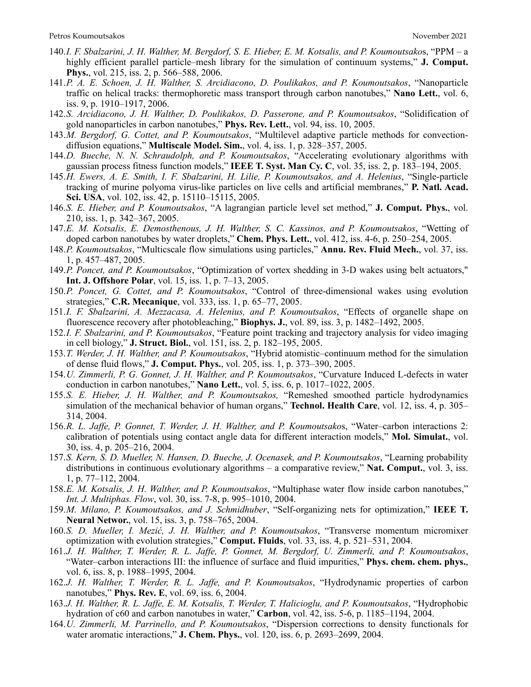- 140.*I. F. Sbalzarini, J. H. Walther, M. Bergdorf, S. E. Hieber, E. M. Kotsalis, and P. Koumoutsako*s, "PPM a highly efficient parallel particle–mesh library for the simulation of continuum systems," **J. Comput. Phys.**, vol. 215, iss. 2, p. 566–588, 2006.
- 141.*P. A. E. Schoen, J. H. Walther, S. Arcidiacono, D. Poulikakos, and P. Koumoutsakos*, "Nanoparticle traffic on helical tracks: thermophoretic mass transport through carbon nanotubes," **Nano Lett.**, vol. 6, iss. 9, p. 1910–1917, 2006.
- 142.*S. Arcidiacono, J. H. Walther, D. Poulikakos, D. Passerone, and P. Koumoutsakos*, "Solidification of gold nanoparticles in carbon nanotubes," **Phys. Rev. Lett.**, vol. 94, iss. 10, 2005.
- 143.*M. Bergdorf, G. Cottet, and P. Koumoutsakos*, "Multilevel adaptive particle methods for convectiondiffusion equations," **Multiscale Model. Sim.**, vol. 4, iss. 1, p. 328–357, 2005.
- 144.*D. Bueche, N. N. Schraudolph, and P. Koumoutsakos*, "Accelerating evolutionary algorithms with gaussian process fitness function models," **IEEE T. Syst. Man Cy. C**, vol. 35, iss. 2, p. 183–194, 2005.
- 145.*H. Ewers, A. E. Smith, I. F. Sbalzarini, H. Lilie, P. Koumoutsakos, and A. Helenius*, "Single-particle tracking of murine polyoma virus-like particles on live cells and artificial membranes," **P. Natl. Acad. Sci. USA**, vol. 102, iss. 42, p. 15110–15115, 2005.
- 146.*S. E. Hieber, and P. Koumoutsakos*, "A lagrangian particle level set method," **J. Comput. Phys.**, vol. 210, iss. 1, p. 342–367, 2005.
- 147.*E. M. Kotsalis, E. Demosthenous, J. H. Walther, S. C. Kassinos, and P. Koumoutsakos*, "Wetting of doped carbon nanotubes by water droplets," **Chem. Phys. Lett.**, vol. 412, iss. 4-6, p. 250–254, 2005.
- 148.*P. Koumoutsakos*, "Multicscale flow simulations using particles," **Annu. Rev. Fluid Mech.**, vol. 37, iss. 1, p. 457–487, 2005.
- 149.*P. Poncet, and P. Koumoutsakos*, "Optimization of vortex shedding in 3-D wakes using belt actuators," **Int. J. Offshore Polar**, vol. 15, iss. 1, p. 7–13, 2005.
- 150.*P. Poncet, G. Cottet, and P. Koumoutsakos*, "Control of three-dimensional wakes using evolution strategies," **C.R. Mecanique**, vol. 333, iss. 1, p. 65–77, 2005.
- 151.*I. F. Sbalzarini, A. Mezzacasa, A. Helenius, and P. Koumoutsakos*, "Effects of organelle shape on fluorescence recovery after photobleaching," **Biophys. J.**, vol. 89, iss. 3, p. 1482–1492, 2005.
- 152.*I. F. Sbalzarini, and P. Koumoutsakos*, "Feature point tracking and trajectory analysis for video imaging in cell biology," **J. Struct. Biol.**, vol. 151, iss. 2, p. 182–195, 2005.
- 153.*T. Werder, J. H. Walther, and P. Koumoutsakos*, "Hybrid atomistic–continuum method for the simulation of dense fluid flows," **J. Comput. Phys.**, vol. 205, iss. 1, p. 373–390, 2005.
- 154.*U. Zimmerli, P. G. Gonnet, J. H. Walther, and P. Koumoutsakos*, "Curvature Induced L-defects in water conduction in carbon nanotubes," **Nano Lett.**, vol. 5, iss. 6, p. 1017–1022, 2005.
- 155.*S. E. Hieber, J. H. Walther, and P. Koumoutsakos,* "Remeshed smoothed particle hydrodynamics simulation of the mechanical behavior of human organs," **Technol. Health Care**, vol. 12, iss. 4, p. 305– 314, 2004.
- 156.*R. L. Jaffe, P. Gonnet, T. Werder, J. H. Walther, and P. Koumoutsako*s, "Water–carbon interactions 2: calibration of potentials using contact angle data for different interaction models," **Mol. Simulat.**, vol. 30, iss. 4, p. 205–216, 2004.
- 157.*S. Kern, S. D. Mueller, N. Hansen, D. Bueche, J. Ocenasek, and P. Koumoutsakos*, "Learning probability distributions in continuous evolutionary algorithms – a comparative review," **Nat. Comput.**, vol. 3, iss. 1, p. 77–112, 2004.
- 158.*E. M. Kotsalis, J. H. Walther, and P. Koumoutsakos*, "Multiphase water flow inside carbon nanotubes," *Int. J. Multiphas. Flow*, vol. 30, iss. 7-8, p. 995–1010, 2004.
- 159.*M. Milano, P. Koumoutsakos, and J. Schmidhuber*, "Self-organizing nets for optimization," **IEEE T. Neural Networ.**, vol. 15, iss. 3, p. 758–765, 2004.
- 160.*S. D. Mueller, I. Mezić, J. H. Walther, and P. Koumoutsakos*, "Transverse momentum micromixer optimization with evolution strategies," **Comput. Fluids**, vol. 33, iss. 4, p. 521–531, 2004.
- 161.*J. H. Walther, T. Werder, R. L. Jaffe, P. Gonnet, M. Bergdorf, U. Zimmerli, and P. Koumoutsakos*, "Water–carbon interactions III: the influence of surface and fluid impurities," **Phys. chem. chem. phys.**, vol. 6, iss. 8, p. 1988–1995, 2004.
- 162.*J. H. Walther, T. Werder, R. L. Jaffe, and P. Koumoutsakos*, "Hydrodynamic properties of carbon nanotubes," **Phys. Rev. E**, vol. 69, iss. 6, 2004.
- 163.*J. H. Walther, R. L. Jaffe, E. M. Kotsalis, T. Werder, T. Halicioglu, and P. Koumoutsakos*, "Hydrophobic hydration of c60 and carbon nanotubes in water," **Carbon**, vol. 42, iss. 5-6, p. 1185–1194, 2004.
- 164.*U. Zimmerli, M. Parrinello, and P. Koumoutsakos*, "Dispersion corrections to density functionals for water aromatic interactions," **J. Chem. Phys.**, vol. 120, iss. 6, p. 2693–2699, 2004.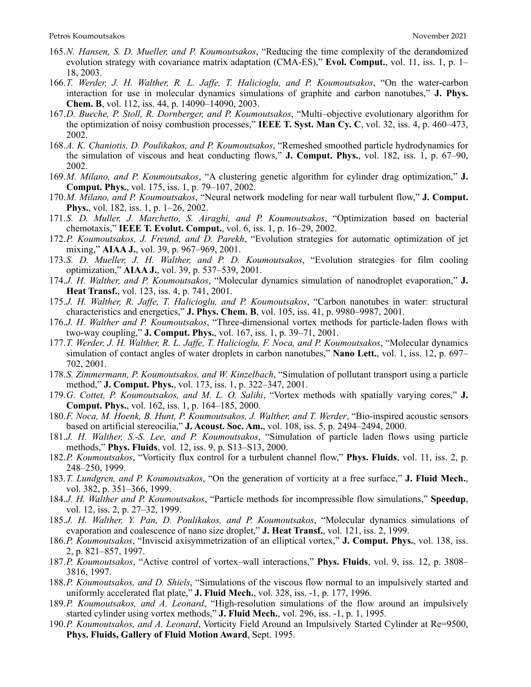- 165.*N. Hansen, S. D. Mueller, and P. Koumoutsakos*, "Reducing the time complexity of the derandomized evolution strategy with covariance matrix adaptation (CMA-ES)," **Evol. Comput.**, vol. 11, iss. 1, p. 1– 18, 2003.
- 166.*T. Werder, J. H. Walther, R. L. Jaffe, T. Halicioglu, and P. Koumoutsakos*, "On the water-carbon interaction for use in molecular dynamics simulations of graphite and carbon nanotubes," **J. Phys. Chem. B**, vol. 112, iss. 44, p. 14090–14090, 2003.
- 167.*D. Bueche, P. Stoll, R. Dornberger, and P. Koumoutsakos*, "Multi–objective evolutionary algorithm for the optimization of noisy combustion processes," **IEEE T. Syst. Man Cy. C**, vol. 32, iss. 4, p. 460–473, 2002.
- 168.*A. K. Chaniotis, D. Poulikakos, and P. Koumoutsakos*, "Remeshed smoothed particle hydrodynamics for the simulation of viscous and heat conducting flows," **J. Comput. Phys.**, vol. 182, iss. 1, p. 67–90, 2002.
- 169.*M. Milano, and P. Koumoutsakos*, "A clustering genetic algorithm for cylinder drag optimization," **J. Comput. Phys.**, vol. 175, iss. 1, p. 79–107, 2002.
- 170.*M. Milano, and P. Koumoutsakos*, "Neural network modeling for near wall turbulent flow," **J. Comput. Phys.**, vol. 182, iss. 1, p. 1–26, 2002.
- 171.*S. D. Muller, J. Marchetto, S. Airaghi, and P. Koumoutsakos*, "Optimization based on bacterial chemotaxis," **IEEE T. Evolut. Comput.**, vol. 6, iss. 1, p. 16–29, 2002.
- 172.*P. Koumoutsakos, J. Freund, and D. Parekh*, "Evolution strategies for automatic optimization of jet mixing," **AIAA J.**, vol. 39, p. 967–969, 2001.
- 173.*S. D. Mueller, J. H. Walther, and P. D. Koumoutsakos*, "Evolution strategies for film cooling optimization," **AIAA J.**, vol. 39, p. 537–539, 2001.
- 174.*J. H. Walther, and P. Koumoutsakos*, "Molecular dynamics simulation of nanodroplet evaporation," **J. Heat Transf.**, vol. 123, iss. 4, p. 741, 2001.
- 175.*J. H. Walther, R. Jaffe, T. Halicioglu, and P. Koumoutsakos*, "Carbon nanotubes in water: structural characteristics and energetics," **J. Phys. Chem. B**, vol. 105, iss. 41, p. 9980–9987, 2001.
- 176.*J. H. Walther and P. Koumoutsakos*, "Three-dimensional vortex methods for particle-laden flows with two-way coupling," **J. Comput. Phys.**, vol. 167, iss. 1, p. 39–71, 2001.
- 177.*T. Werder, J. H. Walther, R. L. Jaffe, T. Halicioglu, F. Noca, and P. Koumoutsakos*, "Molecular dynamics simulation of contact angles of water droplets in carbon nanotubes," **Nano Lett.**, vol. 1, iss. 12, p. 697– 702, 2001.
- 178.*S. Zimmermann, P. Koumoutsakos, and W. Kinzelbach*, "Simulation of pollutant transport using a particle method," **J. Comput. Phys.**, vol. 173, iss. 1, p. 322–347, 2001.
- 179.*G. Cottet, P. Koumoutsakos, and M. L. O. Salihi*, "Vortex methods with spatially varying cores," **J. Comput. Phys.**, vol. 162, iss. 1, p. 164–185, 2000.
- 180.*F. Noca, M. Hoenk, B. Hunt, P. Koumoutsakos, J. Walther, and T. Werder*, "Bio-inspired acoustic sensors based on artificial stereocilia," **J. Acoust. Soc. Am.**, vol. 108, iss. 5, p. 2494–2494, 2000.
- 181.*J. H. Walther, S.-S. Lee, and P. Koumoutsakos*, "Simulation of particle laden flows using particle methods," **Phys. Fluids**, vol. 12, iss. 9, p. S13–S13, 2000.
- 182.*P. Koumoutsakos*, "Vorticity flux control for a turbulent channel flow," **Phys. Fluids**, vol. 11, iss. 2, p. 248–250, 1999.
- 183.*T. Lundgren, and P. Koumoutsakos*, "On the generation of vorticity at a free surface," **J. Fluid Mech.**, vol. 382, p. 351–366, 1999.
- 184.*J. H. Walther and P. Koumoutsakos*, "Particle methods for incompressible flow simulations," **Speedup**, vol. 12, iss. 2, p. 27–32, 1999.
- 185.*J. H. Walther, Y. Pan, D. Poulikakos, and P. Koumoutsakos*, "Molecular dynamics simulations of evaporation and coalescence of nano size droplet," **J. Heat Transf.**, vol. 121, iss. 2, 1999.
- 186.*P. Koumoutsakos*, "Inviscid axisymmetrization of an elliptical vortex," **J. Comput. Phys.**, vol. 138, iss. 2, p. 821–857, 1997.
- 187.*P. Koumoutsakos*, "Active control of vortex–wall interactions," **Phys. Fluids**, vol. 9, iss. 12, p. 3808– 3816, 1997.
- 188.*P. Koumoutsakos, and D. Shiels*, "Simulations of the viscous flow normal to an impulsively started and uniformly accelerated flat plate," **J. Fluid Mech.**, vol. 328, iss. -1, p. 177, 1996.
- 189.*P. Koumoutsakos, and A. Leonard*, "High-resolution simulations of the flow around an impulsively started cylinder using vortex methods," **J. Fluid Mech.**, vol. 296, iss. -1, p. 1, 1995.
- 190.*P. Koumoutsakos, and A. Leonard*, Vorticity Field Around an Impulsively Started Cylinder at Re=9500, **Phys. Fluids, Gallery of Fluid Motion Award**, Sept. 1995.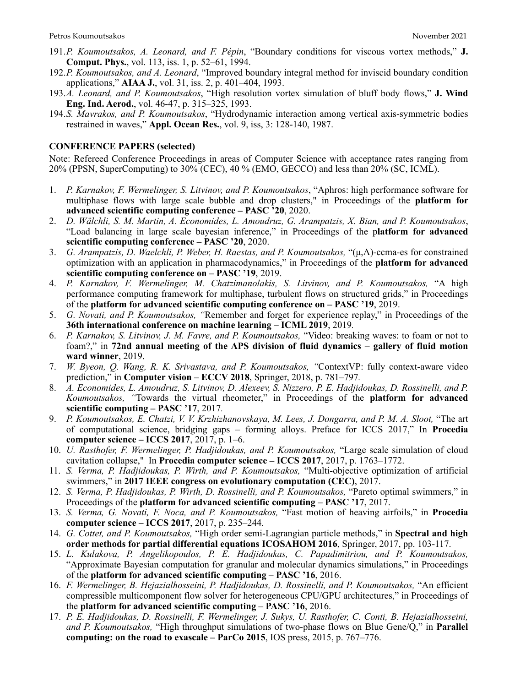- 191.*P. Koumoutsakos, A. Leonard, and F. Pépin*, "Boundary conditions for viscous vortex methods," **J. Comput. Phys.**, vol. 113, iss. 1, p. 52–61, 1994.
- 192.*P. Koumoutsakos, and A. Leonard*, "Improved boundary integral method for inviscid boundary condition applications," **AIAA J.**, vol. 31, iss. 2, p. 401–404, 1993.
- 193.*A. Leonard, and P. Koumoutsakos*, "High resolution vortex simulation of bluff body flows," **J. Wind Eng. Ind. Aerod.**, vol. 46-47, p. 315–325, 1993.
- 194.*S. Mavrakos, and P. Koumoutsakos*, "Hydrodynamic interaction among vertical axis-symmetric bodies restrained in waves," **Appl. Ocean Res.**, vol. 9, iss, 3: 128-140, 1987.

### **CONFERENCE PAPERS (selected)**

Note: Refereed Conference Proceedings in areas of Computer Science with acceptance rates ranging from 20% (PPSN, SuperComputing) to 30% (CEC), 40 % (EMO, GECCO) and less than 20% (SC, ICML).

- 1. *P. Karnakov, F. Wermelinger, S. Litvinov, and P. Koumoutsakos*, "Aphros: high performance software for multiphase flows with large scale bubble and drop clusters," in Proceedings of the **platform for advanced scientific computing conference – PASC '20**, 2020.
- 2. *D. Wälchli, S. M. Martin, A. Economides, L. Amoudruz, G. Arampatzis, X. Bian, and P. Koumoutsakos*, "Load balancing in large scale bayesian inference," in Proceedings of the p**latform for advanced scientific computing conference – PASC '20**, 2020.
- 3. *G. Arampatzis, D. Waelchli, P. Weber, H. Raestas, and P. Koumoutsakos,* "(µ,Λ)-ccma-es for constrained optimization with an application in pharmacodynamics," in Proceedings of the **platform for advanced scientific computing conference on – PASC '19**, 2019.
- 4. *P. Karnakov, F. Wermelinger, M. Chatzimanolakis, S. Litvinov, and P. Koumoutsakos,* "A high performance computing framework for multiphase, turbulent flows on structured grids," in Proceedings of the **platform for advanced scientific computing conference on – PASC '19**, 2019.
- 5. *G. Novati, and P. Koumoutsakos, "*Remember and forget for experience replay," in Proceedings of the **36th international conference on machine learning – ICML 2019**, 2019*.*
- 6. *P. Karnakov, S. Litvinov, J. M. Favre, and P. Koumoutsakos,* "Video: breaking waves: to foam or not to foam?," in **72nd annual meeting of the APS division of fluid dynamics – gallery of fluid motion ward winner**, 2019.
- 7. *W. Byeon, Q. Wang, R. K. Srivastava, and P. Koumoutsakos, "ContextVP: fully context-aware video* prediction," in **Computer vision – ECCV 2018**, Springer, 2018, p. 781–797*.*
- 8. *A. Economides, L. Amoudruz, S. Litvinov, D. Alexeev, S. Nizzero, P. E. Hadjidoukas, D. Rossinelli, and P. Koumoutsakos, "*Towards the virtual rheometer," in Proceedings of the **platform for advanced scientific computing – PASC '17**, 2017*.*
- 9. *P. Koumoutsakos, E. Chatzi, V. V. Krzhizhanovskaya, M. Lees, J. Dongarra, and P. M. A. Sloot,* "The art of computational science, bridging gaps – forming alloys. Preface for ICCS 2017," In **Procedia computer science – ICCS 2017**, 2017, p. 1–6.
- 10. *U. Rasthofer, F. Wermelinger, P. Hadjidoukas, and P. Koumoutsakos,* "Large scale simulation of cloud cavitation collapse," In **Procedia computer science – ICCS 2017**, 2017, p. 1763–1772.
- 11. *S. Verma, P. Hadjidoukas, P. Wirth, and P. Koumoutsakos,* "Multi-objective optimization of artificial swimmers," in **2017 IEEE congress on evolutionary computation (CEC)**, 2017.
- 12. *S. Verma, P. Hadjidoukas, P. Wirth, D. Rossinelli, and P. Koumoutsakos,* "Pareto optimal swimmers," in Proceedings of the **platform for advanced scientific computing – PASC '17**, 2017.
- 13. *S. Verma, G. Novati, F. Noca, and P. Koumoutsakos,* "Fast motion of heaving airfoils," in **Procedia computer science – ICCS 2017**, 2017, p. 235–244*.*
- 14. *G. Cottet, and P. Koumoutsakos,* "High order semi-Lagrangian particle methods," in **Spectral and high order methods for partial differential equations ICOSAHOM 2016**, Springer, 2017, pp. 103-117.
- 15. *L. Kulakova, P. Angelikopoulos, P. E. Hadjidoukas, C. Papadimitriou, and P. Koumoutsakos,*  "Approximate Bayesian computation for granular and molecular dynamics simulations," in Proceedings of the **platform for advanced scientific computing – PASC '16**, 2016.
- 16. *F. Wermelinger, B. Hejazialhosseini, P. Hadjidoukas, D. Rossinelli, and P. Koumoutsakos,* "An efficient compressible multicomponent flow solver for heterogeneous CPU/GPU architectures," in Proceedings of the **platform for advanced scientific computing – PASC '16**, 2016.
- 17. *P. E. Hadjidoukas, D. Rossinelli, F. Wermelinger, J. Sukys, U. Rasthofer, C. Conti, B. Hejazialhosseini, and P. Koumoutsakos,* "High throughput simulations of two-phase flows on Blue Gene/Q," in **Parallel computing: on the road to exascale – ParCo 2015**, IOS press, 2015, p. 767–776.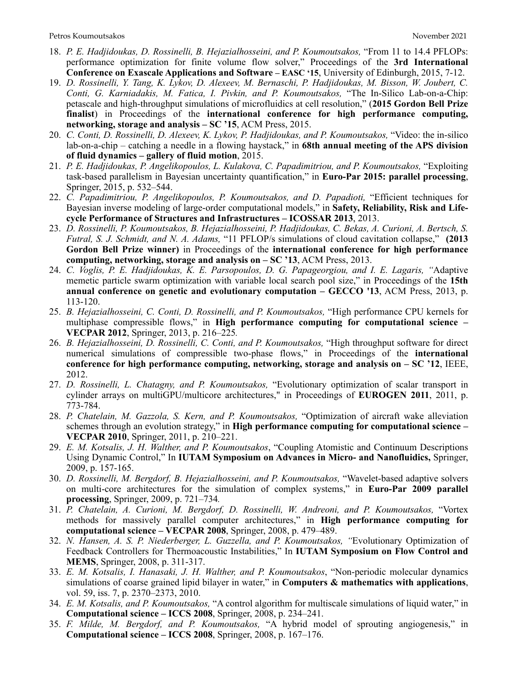- 18. *P. E. Hadjidoukas, D. Rossinelli, B. Hejazialhosseini, and P. Koumoutsakos,* "From 11 to 14.4 PFLOPs: performance optimization for finite volume flow solver," Proceedings of the **3rd International Conference on Exascale Applications and Software – EASC '15**, University of Edinburgh, 2015, 7-12.
- 19. *D. Rossinelli, Y. Tang, K. Lykov, D. Alexeev, M. Bernaschi, P. Hadjidoukas, M. Bisson, W. Joubert, C. Conti, G. Karniadakis, M. Fatica, I. Pivkin, and P. Koumoutsakos,* "The In-Silico Lab-on-a-Chip: petascale and high-throughput simulations of microfluidics at cell resolution," (**2015 Gordon Bell Prize**  finalist) in Proceedings of the international conference for high performance computing, **networking, storage and analysis – SC '15**, ACM Press, 2015.
- 20. *C. Conti, D. Rossinelli, D. Alexeev, K. Lykov, P. Hadjidoukas, and P. Koumoutsakos,* "Video: the in-silico lab-on-a-chip – catching a needle in a flowing haystack," in **68th annual meeting of the APS division of fluid dynamics – gallery of fluid motion**, 2015.
- 21. *P. E. Hadjidoukas, P. Angelikopoulos, L. Kulakova, C. Papadimitriou, and P. Koumoutsakos,* "Exploiting task-based parallelism in Bayesian uncertainty quantification," in **Euro-Par 2015: parallel processing**, Springer, 2015, p. 532–544.
- 22. *C. Papadimitriou, P. Angelikopoulos, P. Koumoutsakos, and D. Papadioti,* "Efficient techniques for Bayesian inverse modeling of large-order computational models," in **Safety, Reliability, Risk and Lifecycle Performance of Structures and Infrastructures – ICOSSAR 2013**, 2013.
- 23. *D. Rossinelli, P. Koumoutsakos, B. Hejazialhosseini, P. Hadjidoukas, C. Bekas, A. Curioni, A. Bertsch, S. Futral, S. J. Schmidt, and N. A. Adams,* "11 PFLOP/s simulations of cloud cavitation collapse," **(2013 Gordon Bell Prize winner)** in Proceedings of the **international conference for high performance computing, networking, storage and analysis on – SC '13**, ACM Press, 2013.
- 24. *C. Voglis, P. E. Hadjidoukas, K. E. Parsopoulos, D. G. Papageorgiou, and I. E. Lagaris, "*Adaptive memetic particle swarm optimization with variable local search pool size," in Proceedings of the **15th annual conference on genetic and evolutionary computation – GECCO '13**, ACM Press, 2013, p. 113-120.
- 25. *B. Hejazialhosseini, C. Conti, D. Rossinelli, and P. Koumoutsakos,* "High performance CPU kernels for multiphase compressible flows," in **High performance computing for computational science – VECPAR 2012**, Springer, 2013, p. 216–225*.*
- 26. *B. Hejazialhosseini, D. Rossinelli, C. Conti, and P. Koumoutsakos,* "High throughput software for direct numerical simulations of compressible two-phase flows," in Proceedings of the **international conference for high performance computing, networking, storage and analysis on – SC '12**, IEEE, 2012.
- 27. *D. Rossinelli, L. Chatagny, and P. Koumoutsakos,* "Evolutionary optimization of scalar transport in cylinder arrays on multiGPU/multicore architectures," in Proceedings of **EUROGEN 2011**, 2011, p. 773-784.
- 28. *P. Chatelain, M. Gazzola, S. Kern, and P. Koumoutsakos,* "Optimization of aircraft wake alleviation schemes through an evolution strategy," in **High performance computing for computational science – VECPAR 2010**, Springer, 2011, p. 210–221.
- 29. *E. M. Kotsalis, J. H. Walther, and P. Koumoutsakos*, "Coupling Atomistic and Continuum Descriptions Using Dynamic Control," In **IUTAM Symposium on Advances in Micro- and Nanofluidics,** Springer, 2009, p. 157-165.
- 30. *D. Rossinelli, M. Bergdorf, B. Hejazialhosseini, and P. Koumoutsakos,* "Wavelet-based adaptive solvers on multi-core architectures for the simulation of complex systems," in **Euro-Par 2009 parallel processing**, Springer, 2009, p. 721–734*.*
- 31. *P. Chatelain, A. Curioni, M. Bergdorf, D. Rossinelli, W. Andreoni, and P. Koumoutsakos,* "Vortex methods for massively parallel computer architectures," in **High performance computing for computational science – VECPAR 2008**, Springer, 2008, p. 479–489.
- 32. *N. Hansen, A. S. P. Niederberger, L. Guzzella, and P. Koumoutsakos, "*Evolutionary Optimization of Feedback Controllers for Thermoacoustic Instabilities," In **IUTAM Symposium on Flow Control and MEMS**, Springer, 2008, p. 311-317.
- 33. *E. M. Kotsalis, I. Hanasaki, J. H. Walther, and P. Koumoutsakos*, "Non-periodic molecular dynamics simulations of coarse grained lipid bilayer in water," in **Computers & mathematics with applications**, vol. 59, iss. 7, p. 2370–2373, 2010.
- 34. *E. M. Kotsalis, and P. Koumoutsakos,* "A control algorithm for multiscale simulations of liquid water," in **Computational science – ICCS 2008**, Springer, 2008, p. 234–241.
- 35. *F. Milde, M. Bergdorf, and P. Koumoutsakos,* "A hybrid model of sprouting angiogenesis," in **Computational science – ICCS 2008**, Springer, 2008, p. 167–176.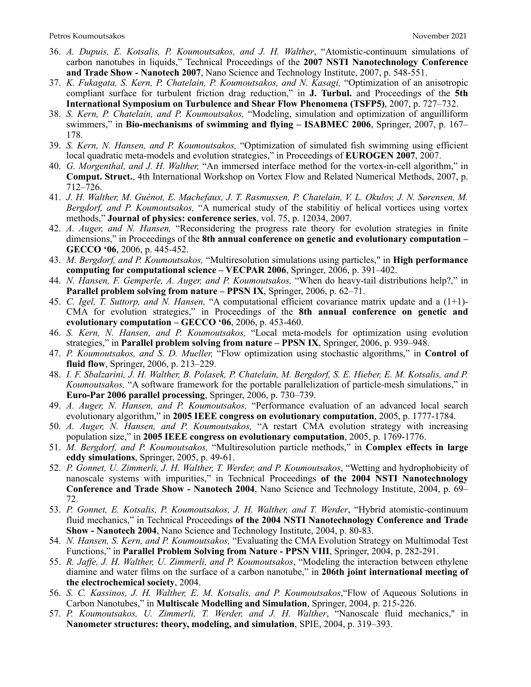- 36. *A. Dupuis, E. Kotsalis, P. Koumoutsakos, and J. H. Walther*, "Atomistic-continuum simulations of carbon nanotubes in liquids," Technical Proceedings of the **2007 NSTI Nanotechnology Conference and Trade Show - Nanotech 2007**, Nano Science and Technology Institute, 2007, p. 548-551.
- 37. *K. Fukagata, S. Kern, P. Chatelain, P. Koumoutsakos, and N. Kasagi,* "Optimization of an anisotropic compliant surface for turbulent friction drag reduction," in **J. Turbul.** and Proceedings of the **5th International Symposium on Turbulence and Shear Flow Phenomena (TSFP5)**, 2007, p. 727–732.
- 38. *S. Kern, P. Chatelain, and P. Koumoutsakos,* "Modeling, simulation and optimization of anguilliform swimmers," in **Bio-mechanisms of swimming and flying – ISABMEC 2006**, Springer, 2007, p. 167– 178.
- 39. *S. Kern, N. Hansen, and P. Koumoutsakos,* "Optimization of simulated fish swimming using efficient local quadratic meta-models and evolution strategies," in Proceedings of **EUROGEN 2007**, 2007.
- 40. *G. Morgenthal, and J. H. Walther,* "An immersed interface method for the vortex-in-cell algorithm," in **Comput. Struct.**, 4th International Workshop on Vortex Flow and Related Numerical Methods, 2007, p. 712–726.
- 41. *J. H. Walther, M. Guénot, E. Machefaux, J. T. Rasmussen, P. Chatelain, V. L. Okulov, J. N. Sørensen, M. Bergdorf, and P. Koumoutsakos,* "A numerical study of the stabilitiy of helical vortices using vortex methods," **Journal of physics: conference series**, vol. 75, p. 12034, 2007.
- 42. *A. Auger, and N. Hansen,* "Reconsidering the progress rate theory for evolution strategies in finite dimensions," in Proceedings of the **8th annual conference on genetic and evolutionary computation – GECCO '06**, 2006, p. 445-452.
- 43. *M. Bergdorf, and P. Koumoutsakos,* "Multiresolution simulations using particles," in **High performance computing for computational science – VECPAR 2006**, Springer, 2006, p. 391–402.
- 44. *N. Hansen, F. Gemperle, A. Auger, and P. Koumoutsakos,* "When do heavy-tail distributions help?," in **Parallel problem solving from nature – PPSN IX**, Springer, 2006, p. 62–71.
- 45. *C. Igel, T. Suttorp, and N. Hansen,* "A computational efficient covariance matrix update and a (1+1)- CMA for evolution strategies," in Proceedings of the **8th annual conference on genetic and evolutionary computation – GECCO '06**, 2006, p. 453-460.
- 46. *S. Kern, N. Hansen, and P. Koumoutsakos,* "Local meta-models for optimization using evolution strategies," in **Parallel problem solving from nature – PPSN IX**, Springer, 2006, p. 939–948.
- 47. *P. Koumoutsakos, and S. D. Mueller,* "Flow optimization using stochastic algorithms," in **Control of fluid flow**, Springer, 2006, p. 213–229.
- 48. *I. F. Sbalzarini, J. H. Walther, B. Polasek, P. Chatelain, M. Bergdorf, S. E. Hieber, E. M. Kotsalis, and P. Koumoutsakos,* "A software framework for the portable parallelization of particle-mesh simulations," in **Euro-Par 2006 parallel processing**, Springer, 2006, p. 730–739.
- 49. *A. Auger, N. Hansen, and P. Koumoutsakos,* "Performance evaluation of an advanced local search evolutionary algorithm," in **2005 IEEE congress on evolutionary computation**, 2005, p. 1777-1784.
- 50. *A. Auger, N. Hansen, and P. Koumoutsakos,* "A restart CMA evolution strategy with increasing population size," in **2005 IEEE congress on evolutionary computation**, 2005, p. 1769-1776.
- 51. *M. Bergdorf, and P. Koumoutsakos,* "Multiresolution particle methods," in **Complex effects in large eddy simulations**, Springer, 2005, p. 49-61.
- 52. *P. Gonnet, U. Zimmerli, J. H. Walther, T. Werder, and P. Koumoutsakos*, "Wetting and hydrophobicity of nanoscale systems with impurities," in Technical Proceedings **of the 2004 NSTI Nanotechnology Conference and Trade Show - Nanotech 2004**, Nano Science and Technology Institute, 2004, p. 69– 72.
- 53. *P. Gonnet, E. Kotsalis, P. Koumoutsakos, J. H. Walther, and T. Werder*, "Hybrid atomistic-continuum fluid mechanics," in Technical Proceedings **of the 2004 NSTI Nanotechnology Conference and Trade Show - Nanotech 2004**, Nano Science and Technology Institute, 2004, p. 80-83.
- 54. *N. Hansen, S. Kern, and P. Koumoutsakos,* "Evaluating the CMA Evolution Strategy on Multimodal Test Functions," in **Parallel Problem Solving from Nature - PPSN VIII**, Springer, 2004, p. 282-291.
- 55. *R. Jaffe, J. H. Walther, U. Zimmerli, and P. Koumoutsakos*, "Modeling the interaction between ethylene diamine and water films on the surface of a carbon nanotube," in **206th joint international meeting of the electrochemical society**, 2004.
- 56. *S. C. Kassinos, J. H. Walther, E. M. Kotsalis, and P. Koumoutsakos*,"Flow of Aqueous Solutions in Carbon Nanotubes," in **Multiscale Modelling and Simulation**, Springer, 2004, p. 215-226.
- 57. *P. Koumoutsakos, U. Zimmerli, T. Werder, and J. H. Walther*, "Nanoscale fluid mechanics," in **Nanometer structures: theory, modeling, and simulation**, SPIE, 2004, p. 319–393.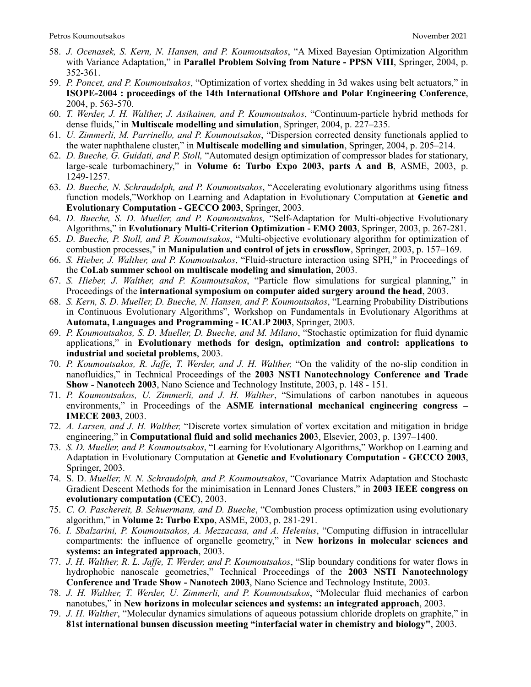- 58. *J. Ocenasek, S. Kern, N. Hansen, and P. Koumoutsakos*, "A Mixed Bayesian Optimization Algorithm with Variance Adaptation," in **Parallel Problem Solving from Nature - PPSN VIII**, Springer, 2004, p. 352-361.
- 59. *P. Poncet, and P. Koumoutsakos*, "Optimization of vortex shedding in 3d wakes using belt actuators," in **ISOPE-2004 : proceedings of the 14th International Offshore and Polar Engineering Conference**, 2004, p. 563-570.
- 60. *T. Werder, J. H. Walther, J. Asikainen, and P. Koumoutsakos*, "Continuum-particle hybrid methods for dense fluids," in **Multiscale modelling and simulation**, Springer, 2004, p. 227–235.
- 61. *U. Zimmerli, M. Parrinello, and P. Koumoutsakos*, "Dispersion corrected density functionals applied to the water naphthalene cluster," in **Multiscale modelling and simulation**, Springer, 2004, p. 205–214.
- 62. *D. Bueche, G. Guidati, and P. Stoll,* "Automated design optimization of compressor blades for stationary, large-scale turbomachinery," in **Volume 6: Turbo Expo 2003, parts A and B**, ASME, 2003, p. 1249-1257.
- 63. *D. Bueche, N. Schraudolph, and P. Koumoutsakos*, "Accelerating evolutionary algorithms using fitness function models,"Workhop on Learning and Adaptation in Evolutionary Computation at **Genetic and Evolutionary Computation - GECCO 2003**, Springer, 2003.
- 64. *D. Bueche, S. D. Mueller, and P. Koumoutsakos,* "Self-Adaptation for Multi-objective Evolutionary Algorithms," in **Evolutionary Multi-Criterion Optimization - EMO 2003**, Springer, 2003, p. 267-281.
- 65. *D. Bueche, P. Stoll, and P. Koumoutsakos*, "Multi-objective evolutionary algorithm for optimization of combustion processes," in **Manipulation and control of jets in crossflow**, Springer, 2003, p. 157–169.
- 66. *S. Hieber, J. Walther, and P. Koumoutsakos*, "Fluid-structure interaction using SPH," in Proceedings of the **CoLab summer school on multiscale modeling and simulation**, 2003.
- 67. *S. Hieber, J. Walther, and P. Koumoutsakos*, "Particle flow simulations for surgical planning," in Proceedings of the **international symposium on computer aided surgery around the head**, 2003.
- 68. *S. Kern, S. D. Mueller, D. Bueche, N. Hansen, and P. Koumoutsakos*, "Learning Probability Distributions in Continuous Evolutionary Algorithms", Workshop on Fundamentals in Evolutionary Algorithms at **Automata, Languages and Programming - ICALP 2003**, Springer, 2003.
- 69. *P. Koumoutsakos, S. D. Mueller, D. Bueche, and M. Milano*, "Stochastic optimization for fluid dynamic applications," in **Evolutionary methods for design, optimization and control: applications to industrial and societal problems**, 2003.
- 70. *P. Koumoutsakos, R. Jaffe, T. Werder, and J. H. Walther,* "On the validity of the no-slip condition in nanofluidics," in Technical Proceedings of the **2003 NSTI Nanotechnology Conference and Trade Show - Nanotech 2003**, Nano Science and Technology Institute, 2003, p. 148 - 151.
- 71. *P. Koumoutsakos, U. Zimmerli, and J. H. Walther*, "Simulations of carbon nanotubes in aqueous environments," in Proceedings of the **ASME international mechanical engineering congress** – **IMECE 2003**, 2003.
- 72. *A. Larsen, and J. H. Walther,* "Discrete vortex simulation of vortex excitation and mitigation in bridge engineering," in **Computational fluid and solid mechanics 200**3, Elsevier, 2003, p. 1397–1400.
- 73. *S. D. Mueller, and P. Koumoutsakos*, "Learning for Evolutionary Algorithms," Workhop on Learning and Adaptation in Evolutionary Computation at **Genetic and Evolutionary Computation - GECCO 2003**, Springer, 2003.
- 74. S. D. *Mueller, N. N. Schraudolph, and P. Koumoutsakos*, "Covariance Matrix Adaptation and Stochastc Gradient Descent Methods for the minimisation in Lennard Jones Clusters," in **2003 IEEE congress on evolutionary computation (CEC)**, 2003.
- 75. *C. O. Paschereit, B. Schuermans, and D. Bueche*, "Combustion process optimization using evolutionary algorithm," in **Volume 2: Turbo Expo**, ASME, 2003, p. 281-291.
- 76. *I. Sbalzarini, P. Koumoutsakos, A. Mezzacasa, and A. Helenius*, "Computing diffusion in intracellular compartments: the influence of organelle geometry," in **New horizons in molecular sciences and systems: an integrated approach**, 2003.
- 77. *J. H. Walther, R. L. Jaffe, T. Werder, and P. Koumoutsakos*, "Slip boundary conditions for water flows in hydrophobic nanoscale geometries," Technical Proceedings of the **2003 NSTI Nanotechnology Conference and Trade Show - Nanotech 2003**, Nano Science and Technology Institute, 2003.
- 78. *J. H. Walther, T. Werder, U. Zimmerli, and P. Koumoutsakos*, "Molecular fluid mechanics of carbon nanotubes," in **New horizons in molecular sciences and systems: an integrated approach**, 2003.
- 79. *J. H. Walther*, "Molecular dynamics simulations of aqueous potassium chloride droplets on graphite," in **81st international bunsen discussion meeting "interfacial water in chemistry and biology"**, 2003.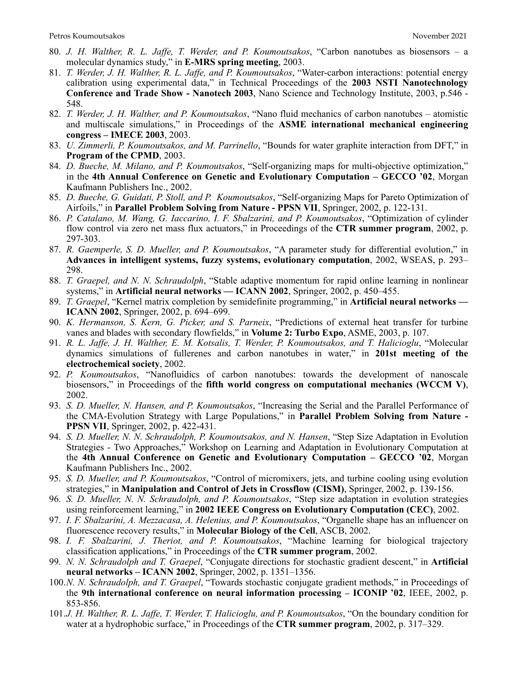- 80. *J. H. Walther, R. L. Jaffe, T. Werder, and P. Koumoutsakos*, "Carbon nanotubes as biosensors a molecular dynamics study," in **E-MRS spring meeting**, 2003.
- 81. *T. Werder, J. H. Walther, R. L. Jaffe, and P. Koumoutsakos*, "Water-carbon interactions: potential energy calibration using experimental data," in Technical Proceedings of the **2003 NSTI Nanotechnology Conference and Trade Show - Nanotech 2003**, Nano Science and Technology Institute, 2003, p.546 - 548.
- 82. *T. Werder, J. H. Walther, and P. Koumoutsakos*, "Nano fluid mechanics of carbon nanotubes atomistic and multiscale simulations," in Proceedings of the **ASME international mechanical engineering congress – IMECE 2003**, 2003.
- 83. *U. Zimmerli, P. Koumoutsakos, and M. Parrinello*, "Bounds for water graphite interaction from DFT," in **Program of the CPMD**, 2003.
- 84. *D. Bueche, M. Milano, and P. Koumoutsakos*, "Self-organizing maps for multi-objective optimization," in the **4th Annual Conference on Genetic and Evolutionary Computation – GECCO '02**, Morgan Kaufmann Publishers Inc., 2002.
- 85. *D. Bueche, G. Guidati, P. Stoll, and P. Koumoutsakos*, "Self-organizing Maps for Pareto Optimization of Airfoils," in **Parallel Problem Solving from Nature - PPSN VII**, Springer, 2002, p. 122-131.
- 86. *P. Catalano, M. Wang, G. Iaccarino, I. F. Sbalzarini, and P. Koumoutsakos*, "Optimization of cylinder flow control via zero net mass flux actuators," in Proceedings of the **CTR summer program**, 2002, p. 297-303.
- 87. *R. Gaemperle, S. D. Mueller, and P. Koumoutsakos*, "A parameter study for differential evolution," in **Advances in intelligent systems, fuzzy systems, evolutionary computation**, 2002, WSEAS, p. 293– 298.
- 88. *T. Graepel, and N. N. Schraudolph*, "Stable adaptive momentum for rapid online learning in nonlinear systems," in **Artificial neural networks — ICANN 2002**, Springer, 2002, p. 450–455.
- 89. *T. Graepel*, "Kernel matrix completion by semidefinite programming," in **Artificial neural networks ICANN 2002**, Springer, 2002, p. 694–699.
- 90. *K. Hermanson, S. Kern, G. Picker, and S. Parneix*, "Predictions of external heat transfer for turbine vanes and blades with secondary flowfields," in **Volume 2: Turbo Expo**, ASME, 2003, p. 107.
- 91. *R. L. Jaffe, J. H. Walther, E. M. Kotsalis, T. Werder, P. Koumoutsakos, and T. Halicioglu*, "Molecular dynamics simulations of fullerenes and carbon nanotubes in water," in **201st meeting of the electrochemical society**, 2002.
- 92. *P. Koumoutsakos*, "Nanofluidics of carbon nanotubes: towards the development of nanoscale biosensors," in Proceedings of the **fifth world congress on computational mechanics (WCCM V)**, 2002.
- 93. *S. D. Mueller, N. Hansen, and P. Koumoutsakos*, "Increasing the Serial and the Parallel Performance of the CMA-Evolution Strategy with Large Populations," in **Parallel Problem Solving from Nature - PPSN VII**, Springer, 2002, p. 422-431.
- 94. *S. D. Mueller, N. N. Schraudolph, P. Koumoutsakos, and N. Hansen*, "Step Size Adaptation in Evolution Strategies - Two Approaches," Workshop on Learning and Adaptation in Evolutionary Computation at the **4th Annual Conference on Genetic and Evolutionary Computation – GECCO '02**, Morgan Kaufmann Publishers Inc., 2002.
- 95. *S. D. Mueller, and P. Koumoutsakos*, "Control of micromixers, jets, and turbine cooling using evolution strategies," in **Manipulation and Control of Jets in Crossflow (CISM)**, Springer, 2002, p. 139-156.
- 96. *S. D. Mueller, N. N. Schraudolph, and P. Koumoutsakos*, "Step size adaptation in evolution strategies using reinforcement learning," in **2002 IEEE Congress on Evolutionary Computation (CEC)**, 2002.
- 97. *I. F. Sbalzarini, A. Mezzacasa, A. Helenius, and P. Koumoutsakos*, "Organelle shape has an influencer on fluorescence recovery results," in **Molecular Biology of the Cell**, ASCB, 2002.
- 98. *I. F. Sbalzarini, J. Theriot, and P. Koumoutsakos*, "Machine learning for biological trajectory classification applications," in Proceedings of the **CTR summer program**, 2002.
- 99. *N. N. Schraudolph and T. Graepel*, "Conjugate directions for stochastic gradient descent," in **Artificial neural networks – ICANN 2002**, Springer, 2002, p. 1351–1356.
- 100.*N. N. Schraudolph, and T. Graepel*, "Towards stochastic conjugate gradient methods," in Proceedings of the **9th international conference on neural information processing – ICONIP '02**, IEEE, 2002, p. 853-856.
- 101.*J. H. Walther, R. L. Jaffe, T. Werder, T. Halicioglu, and P. Koumoutsakos*, "On the boundary condition for water at a hydrophobic surface," in Proceedings of the **CTR summer program**, 2002, p. 317–329.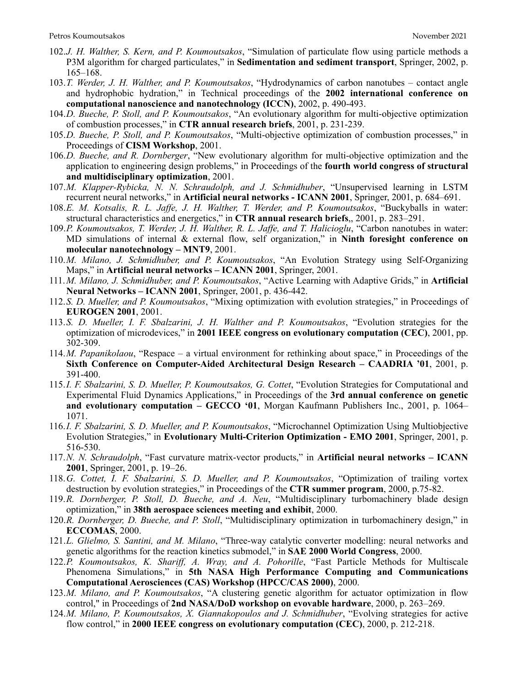- 102.*J. H. Walther, S. Kern, and P. Koumoutsakos*, "Simulation of particulate flow using particle methods a P3M algorithm for charged particulates," in **Sedimentation and sediment transport**, Springer, 2002, p. 165–168.
- 103.*T. Werder, J. H. Walther, and P. Koumoutsakos*, "Hydrodynamics of carbon nanotubes contact angle and hydrophobic hydration," in Technical proceedings of the **2002 international conference on computational nanoscience and nanotechnology (ICCN)**, 2002, p. 490-493.
- 104.*D. Bueche, P. Stoll, and P. Koumoutsakos*, "An evolutionary algorithm for multi-objective optimization of combustion processes," in **CTR annual research briefs**, 2001, p. 231-239.
- 105.*D. Bueche, P. Stoll, and P. Koumoutsakos*, "Multi-objective optimization of combustion processes," in Proceedings of **CISM Workshop**, 2001.
- 106.*D. Bueche, and R. Dornberger*, "New evolutionary algorithm for multi-objective optimization and the application to engineering design problems," in Proceedings of the **fourth world congress of structural and multidisciplinary optimization**, 2001.
- 107.*M. Klapper-Rybicka, N. N. Schraudolph, and J. Schmidhuber*, "Unsupervised learning in LSTM recurrent neural networks," in **Artificial neural networks - ICANN 2001**, Springer, 2001, p. 684–691.
- 108.*E. M. Kotsalis, R. L. Jaffe, J. H. Walther, T. Werder, and P. Koumoutsakos*, "Buckyballs in water: structural characteristics and energetics," in **CTR annual research briefs**,, 2001, p. 283–291.
- 109.*P. Koumoutsakos, T. Werder, J. H. Walther, R. L. Jaffe, and T. Halicioglu*, "Carbon nanotubes in water: MD simulations of internal & external flow, self organization," in **Ninth foresight conference on molecular nanotechnology – MNT9**, 2001.
- 110.*M. Milano, J. Schmidhuber, and P. Koumoutsakos*, "An Evolution Strategy using Self-Organizing Maps," in **Artificial neural networks – ICANN 2001**, Springer, 2001.
- 111.*M. Milano, J. Schmidhuber, and P. Koumoutsakos*, "Active Learning with Adaptive Grids," in **Artificial Neural Networks – ICANN 2001**, Springer, 2001, p. 436-442.
- 112.*S. D. Mueller, and P. Koumoutsakos*, "Mixing optimization with evolution strategies," in Proceedings of **EUROGEN 2001**, 2001.
- 113.*S. D. Mueller, I. F. Sbalzarini, J. H. Walther and P. Koumoutsakos*, "Evolution strategies for the optimization of microdevices," in **2001 IEEE congress on evolutionary computation (CEC)**, 2001, pp. 302-309.
- 114.*M. Papanikolaou*, "Respace a virtual environment for rethinking about space," in Proceedings of the **Sixth Conference on Computer-Aided Architectural Design Research – CAADRIA '01**, 2001, p. 391-400.
- 115.*I. F. Sbalzarini, S. D. Mueller, P. Koumoutsakos, G. Cottet*, "Evolution Strategies for Computational and Experimental Fluid Dynamics Applications," in Proceedings of the **3rd annual conference on genetic and evolutionary computation – GECCO '01**, Morgan Kaufmann Publishers Inc., 2001, p. 1064– 1071.
- 116.*I. F. Sbalzarini, S. D. Mueller, and P. Koumoutsakos*, "Microchannel Optimization Using Multiobjective Evolution Strategies," in **Evolutionary Multi-Criterion Optimization - EMO 2001**, Springer, 2001, p. 516-530.
- 117.*N. N. Schraudolph*, "Fast curvature matrix-vector products," in **Artificial neural networks ICANN 2001**, Springer, 2001, p. 19–26.
- 118.*G. Cottet, I. F. Sbalzarini, S. D. Mueller, and P. Koumoutsakos*, "Optimization of trailing vortex destruction by evolution strategies," in Proceedings of the **CTR summer program**, 2000, p.75-82.
- 119.*R. Dornberger, P. Stoll, D. Bueche, and A. Neu*, "Multidisciplinary turbomachinery blade design optimization," in **38th aerospace sciences meeting and exhibit**, 2000.
- 120.*R. Dornberger, D. Bueche, and P. Stoll*, "Multidisciplinary optimization in turbomachinery design," in **ECCOMAS**, 2000.
- 121.*L. Glielmo, S. Santini, and M. Milano*, "Three-way catalytic converter modelling: neural networks and genetic algorithms for the reaction kinetics submodel," in **SAE 2000 World Congress**, 2000.
- 122.*P. Koumoutsakos, K. Shariff, A. Wray, and A. Pohorille*, "Fast Particle Methods for Multiscale Phenomena Simulations," in **5th NASA High Performance Computing and Communications Computational Aerosciences (CAS) Workshop (HPCC/CAS 2000)**, 2000.
- 123.*M. Milano, and P. Koumoutsakos*, "A clustering genetic algorithm for actuator optimization in flow control," in Proceedings of **2nd NASA/DoD workshop on evovable hardware**, 2000, p. 263–269.
- 124.*M. Milano, P. Koumoutsakos, X. Giannakopoulos and J. Schmidhuber*, "Evolving strategies for active flow control," in **2000 IEEE congress on evolutionary computation (CEC)**, 2000, p. 212-218.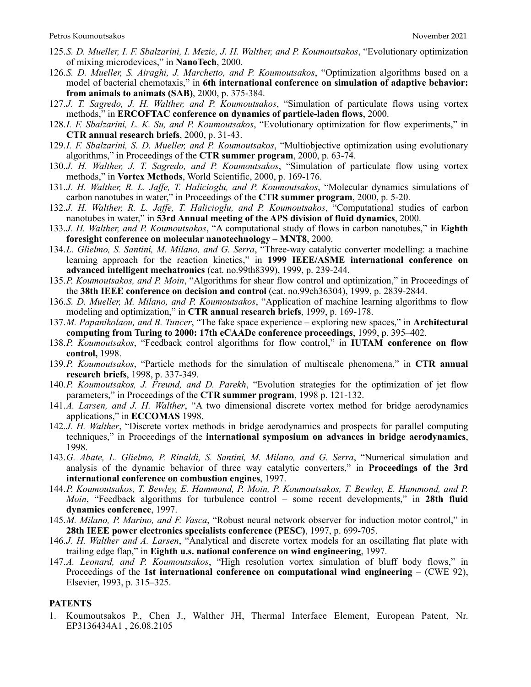- 125.*S. D. Mueller, I. F. Sbalzarini, I. Mezic, J. H. Walther, and P. Koumoutsakos*, "Evolutionary optimization of mixing microdevices," in **NanoTech**, 2000.
- 126.*S. D. Mueller, S. Airaghi, J. Marchetto, and P. Koumoutsakos*, "Optimization algorithms based on a model of bacterial chemotaxis," in **6th international conference on simulation of adaptive behavior: from animals to animats (SAB)**, 2000, p. 375-384.
- 127.*J. T. Sagredo, J. H. Walther, and P. Koumoutsakos*, "Simulation of particulate flows using vortex methods," in **ERCOFTAC conference on dynamics of particle-laden flows**, 2000.
- 128.*I. F. Sbalzarini, L. K. Su, and P. Koumoutsakos*, "Evolutionary optimization for flow experiments," in **CTR annual research briefs**, 2000, p. 31-43.
- 129.*I. F. Sbalzarini, S. D. Mueller, and P. Koumoutsakos*, "Multiobjective optimization using evolutionary algorithms," in Proceedings of the **CTR summer program**, 2000, p. 63-74.
- 130.*J. H. Walther, J. T. Sagredo, and P. Koumoutsakos*, "Simulation of particulate flow using vortex methods," in **Vortex Methods**, World Scientific, 2000, p. 169-176.
- 131.*J. H. Walther, R. L. Jaffe, T. Halicioglu, and P. Koumoutsakos*, "Molecular dynamics simulations of carbon nanotubes in water," in Proceedings of the **CTR summer program**, 2000, p. 5-20.
- 132.*J. H. Walther, R. L. Jaffe, T. Halicioglu, and P. Koumoutsakos*, "Computational studies of carbon nanotubes in water," in **53rd Annual meeting of the APS division of fluid dynamics**, 2000.
- 133.*J. H. Walther, and P. Koumoutsakos*, "A computational study of flows in carbon nanotubes," in **Eighth foresight conference on molecular nanotechnology – MNT8**, 2000.
- 134.*L. Glielmo, S. Santini, M. Milano, and G. Serra*, "Three-way catalytic converter modelling: a machine learning approach for the reaction kinetics," in **1999 IEEE/ASME international conference on advanced intelligent mechatronics** (cat. no.99th8399), 1999, p. 239-244.
- 135.*P. Koumoutsakos, and P. Moin*, "Algorithms for shear flow control and optimization," in Proceedings of the **38th IEEE conference on decision and control** (cat. no.99ch36304), 1999, p. 2839-2844.
- 136.*S. D. Mueller, M. Milano, and P. Koumoutsakos*, "Application of machine learning algorithms to flow modeling and optimization," in **CTR annual research briefs**, 1999, p. 169-178.
- 137.*M. Papanikolaou, and B. Tuncer*, "The fake space experience exploring new spaces," in **Architectural computing from Turing to 2000: 17th eCAADe conference proceedings**, 1999, p. 395–402.
- 138.*P. Koumoutsakos*, "Feedback control algorithms for flow control," in **IUTAM conference on flow control,** 1998.
- 139.*P. Koumoutsakos*, "Particle methods for the simulation of multiscale phenomena," in **CTR annual research briefs**, 1998, p. 337-349.
- 140.*P. Koumoutsakos, J. Freund, and D. Parekh*, "Evolution strategies for the optimization of jet flow parameters," in Proceedings of the **CTR summer program**, 1998 p. 121-132.
- 141.*A. Larsen, and J. H. Walther*, "A two dimensional discrete vortex method for bridge aerodynamics applications," in **ECCOMAS** 1998.
- 142.*J. H. Walther*, "Discrete vortex methods in bridge aerodynamics and prospects for parallel computing techniques," in Proceedings of the **international symposium on advances in bridge aerodynamics**, 1998.
- 143.*G. Abate, L. Glielmo, P. Rinaldi, S. Santini, M. Milano, and G. Serra*, "Numerical simulation and analysis of the dynamic behavior of three way catalytic converters," in **Proceedings of the 3rd international conference on combustion engines**, 1997.
- 144.*P. Koumoutsakos, T. Bewley, E. Hammond, P. Moin, P. Koumoutsakos, T. Bewley, E. Hammond, and P. Moin*, "Feedback algorithms for turbulence control – some recent developments," in **28th fluid dynamics conference**, 1997.
- 145.*M. Milano, P. Marino, and F. Vasca*, "Robust neural network observer for induction motor control," in **28th IEEE power electronics specialists conference (PESC)**, 1997, p. 699-705.
- 146.*J. H. Walther and A. Larsen*, "Analytical and discrete vortex models for an oscillating flat plate with trailing edge flap," in **Eighth u.s. national conference on wind engineering**, 1997.
- 147.*A. Leonard, and P. Koumoutsakos*, "High resolution vortex simulation of bluff body flows," in Proceedings of the **1st international conference on computational wind engineering** – (CWE 92), Elsevier, 1993, p. 315–325.

#### **PATENTS**

1. Koumoutsakos P., Chen J., Walther JH, Thermal Interface Element, European Patent, Nr. EP3136434A1 , 26.08.2105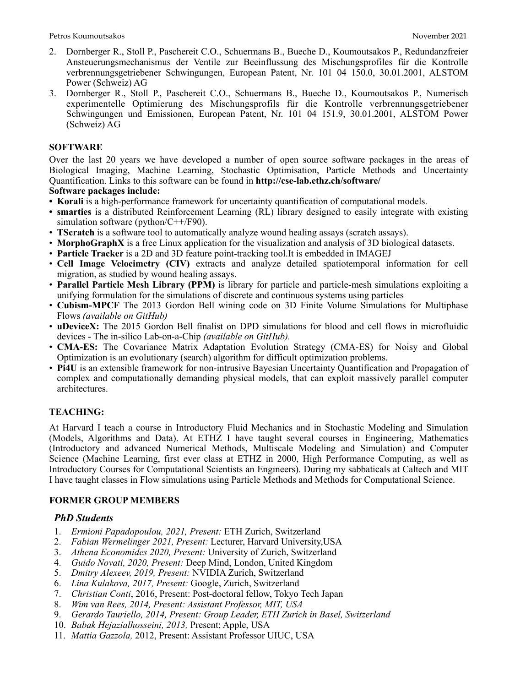- 2. Dornberger R., Stoll P., Paschereit C.O., Schuermans B., Bueche D., Koumoutsakos P., Redundanzfreier Ansteuerungsmechanismus der Ventile zur Beeinflussung des Mischungsprofiles für die Kontrolle verbrennungsgetriebener Schwingungen, European Patent, Nr. 101 04 150.0, 30.01.2001, ALSTOM Power (Schweiz) AG
- 3. Dornberger R., Stoll P., Paschereit C.O., Schuermans B., Bueche D., Koumoutsakos P., Numerisch experimentelle Optimierung des Mischungsprofils für die Kontrolle verbrennungsgetriebener Schwingungen und Emissionen, European Patent, Nr. 101 04 151.9, 30.01.2001, ALSTOM Power (Schweiz) AG

### **SOFTWARE**

Over the last 20 years we have developed a number of open source software packages in the areas of Biological Imaging, Machine Learning, Stochastic Optimisation, Particle Methods and Uncertainty Quantification. Links to this software can be found in **http://cse-lab.ethz.ch/software/**

### **Software packages include:**

- **• Korali** is a high-performance framework for uncertainty quantification of computational models.
- **• smarties** is a distributed Reinforcement Learning (RL) library designed to easily integrate with existing simulation software (python/C++/F90).
- **TScratch** is a software tool to automatically analyze wound healing assays (scratch assays).
- **MorphoGraphX** is a free Linux application for the visualization and analysis of 3D biological datasets.
- **Particle Tracker** is a 2D and 3D feature point-tracking tool.It is embedded in IMAGEJ
- **Cell Image Velocimetry (CIV)** extracts and analyze detailed spatiotemporal information for cell migration, as studied by wound healing assays.
- **Parallel Particle Mesh Library (PPM)** is library for particle and particle-mesh simulations exploiting a unifying formulation for the simulations of discrete and continuous systems using particles
- **Cubism-MPCF** The 2013 Gordon Bell wining code on 3D Finite Volume Simulations for Multiphase Flows *(available on GitHub)*
- **uDeviceX:** The 2015 Gordon Bell finalist on DPD simulations for blood and cell flows in microfluidic devices - The in-silico Lab-on-a-Chip *(available on GitHub).*
- **CMA-ES:** The Covariance Matrix Adaptation Evolution Strategy (CMA-ES) for Noisy and Global Optimization is an evolutionary (search) algorithm for difficult optimization problems.
- **Pi4U** is an extensible framework for non-intrusive Bayesian Uncertainty Quantification and Propagation of complex and computationally demanding physical models, that can exploit massively parallel computer architectures.

# **TEACHING:**

At Harvard I teach a course in Introductory Fluid Mechanics and in Stochastic Modeling and Simulation (Models, Algorithms and Data). At ETHZ I have taught several courses in Engineering, Mathematics (Introductory and advanced Numerical Methods, Multiscale Modeling and Simulation) and Computer Science (Machine Learning, first ever class at ETHZ in 2000, High Performance Computing, as well as Introductory Courses for Computational Scientists an Engineers). During my sabbaticals at Caltech and MIT I have taught classes in Flow simulations using Particle Methods and Methods for Computational Science.

# **FORMER GROUP MEMBERS**

# *PhD Students*

- 1. *Ermioni Papadopoulou, 2021, Present:* ETH Zurich, Switzerland
- 2. *Fabian Wermelinger 2021, Present:* Lecturer, Harvard University,USA
- 3. *Athena Economides 2020, Present:* University of Zurich, Switzerland
- 4. *Guido Novati, 2020, Present:* Deep Mind, London, United Kingdom
- 5. *Dmitry Alexeev, 2019, Present:* NVIDIA Zurich, Switzerland
- 6. *Lina Kulakova, 2017, Present:* Google, Zurich, Switzerland
- 7. *Christian Conti*, 2016, Present: Post-doctoral fellow, Tokyo Tech Japan
- 8. *Wim van Rees, 2014, Present: Assistant Professor, MIT, USA*
- 9. *Gerardo Tauriello, 2014, Present: Group Leader, ETH Zurich in Basel, Switzerland*
- 10. *Babak Hejazialhosseini, 2013,* Present: Apple, USA
- 11. *Mattia Gazzola,* 2012, Present: Assistant Professor UIUC, USA